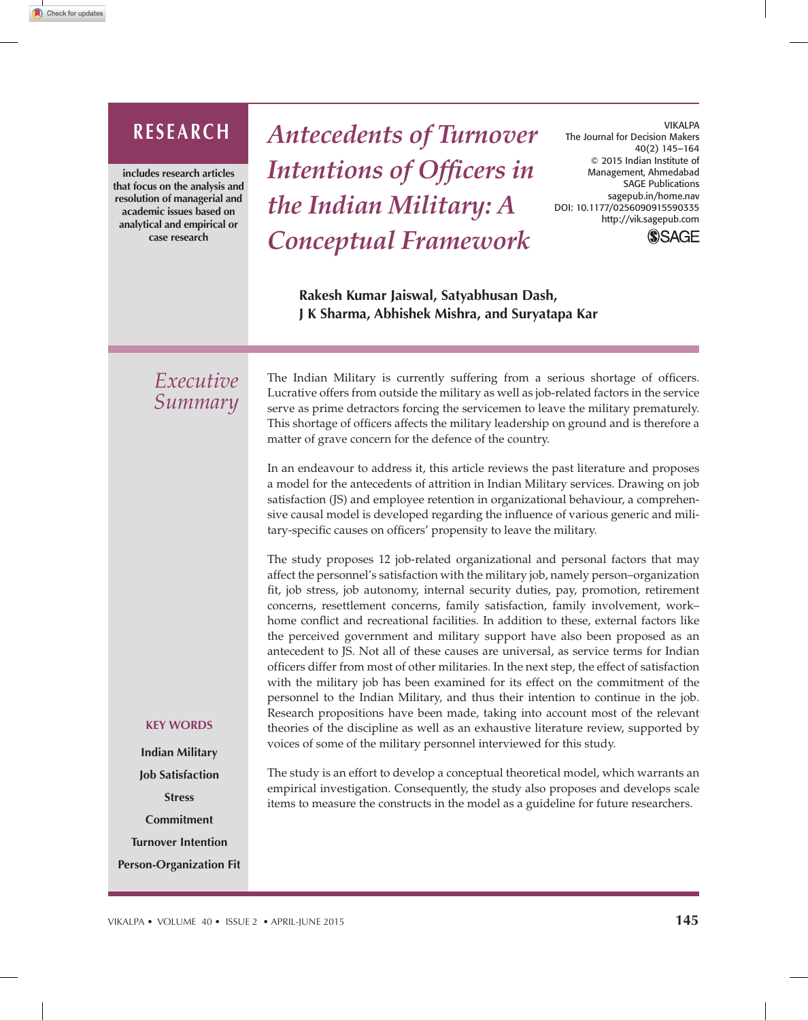# **RESEARCH**

**includes research articles that focus on the analysis and resolution of managerial and academic issues based on analytical and empirical or case research**

*Antecedents of Turnover Intentions of Officers in the Indian Military: A Conceptual Framework*

VIKALPA The Journal for Decision Makers 40(2) 145–164 © 2015 Indian Institute of Management, Ahmedabad SAGE Publications sagepub.in/home.nav DOI: 10.1177/0256090915590335 http://vik.sagepub.com



**Rakesh Kumar Jaiswal, Satyabhusan Dash, J K Sharma, Abhishek Mishra, and Suryatapa Kar**

# *Executive Summary*

The Indian Military is currently suffering from a serious shortage of officers. Lucrative offers from outside the military as well as job-related factors in the service serve as prime detractors forcing the servicemen to leave the military prematurely. This shortage of officers affects the military leadership on ground and is therefore a matter of grave concern for the defence of the country.

In an endeavour to address it, this article reviews the past literature and proposes a model for the antecedents of attrition in Indian Military services. Drawing on job satisfaction (JS) and employee retention in organizational behaviour, a comprehensive causal model is developed regarding the influence of various generic and military-specific causes on officers' propensity to leave the military.

The study proposes 12 job-related organizational and personal factors that may affect the personnel's satisfaction with the military job, namely person–organization fit, job stress, job autonomy, internal security duties, pay, promotion, retirement concerns, resettlement concerns, family satisfaction, family involvement, work– home conflict and recreational facilities. In addition to these, external factors like the perceived government and military support have also been proposed as an antecedent to JS. Not all of these causes are universal, as service terms for Indian officers differ from most of other militaries. In the next step, the effect of satisfaction with the military job has been examined for its effect on the commitment of the personnel to the Indian Military, and thus their intention to continue in the job. Research propositions have been made, taking into account most of the relevant theories of the discipline as well as an exhaustive literature review, supported by voices of some of the military personnel interviewed for this study.

The study is an effort to develop a conceptual theoretical model, which warrants an empirical investigation. Consequently, the study also proposes and develops scale items to measure the constructs in the model as a guideline for future researchers.

#### **KEY WORDS**

**Indian Military Job Satisfaction Stress Commitment Turnover Intention Person-Organization Fit**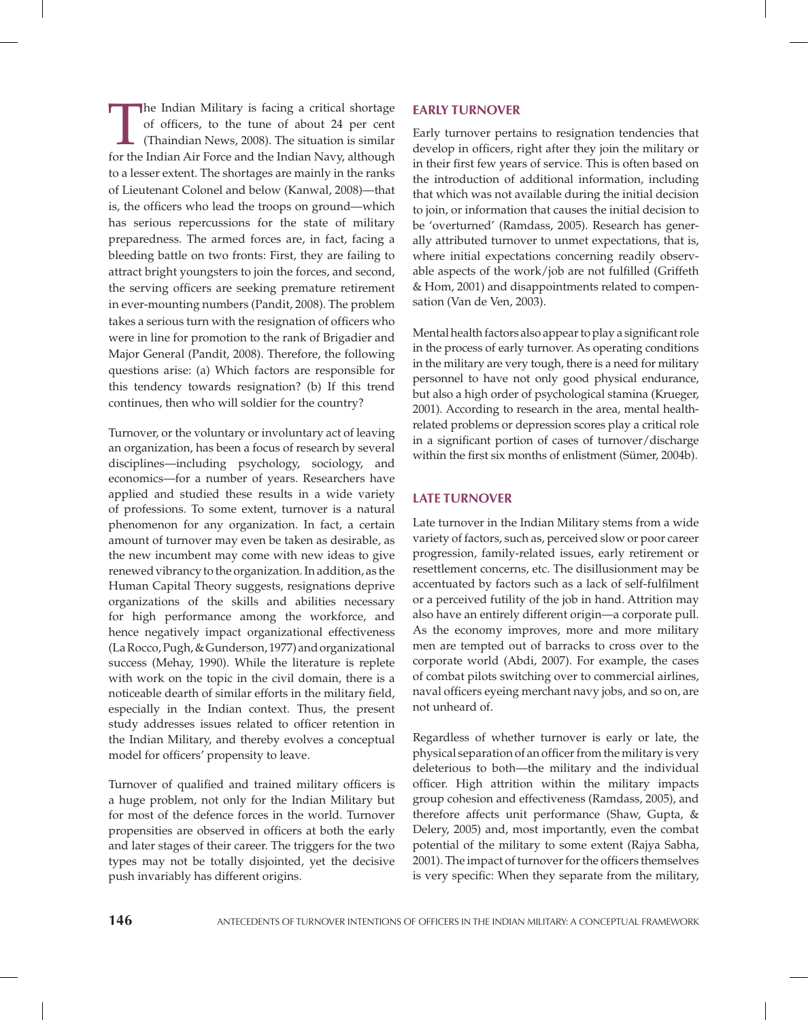The Indian Military is facing a critical shortage<br>of officers, to the tune of about 24 per cent<br>(Thaindian News, 2008). The situation is similar<br>for the Indian Air Force and the Indian Navy although of officers, to the tune of about 24 per cent (Thaindian News, 2008). The situation is similar for the Indian Air Force and the Indian Navy, although to a lesser extent. The shortages are mainly in the ranks of Lieutenant Colonel and below (Kanwal, 2008)—that is, the officers who lead the troops on ground—which has serious repercussions for the state of military preparedness. The armed forces are, in fact, facing a bleeding battle on two fronts: First, they are failing to attract bright youngsters to join the forces, and second, the serving officers are seeking premature retirement in ever-mounting numbers (Pandit, 2008). The problem takes a serious turn with the resignation of officers who were in line for promotion to the rank of Brigadier and Major General (Pandit, 2008). Therefore, the following questions arise: (a) Which factors are responsible for this tendency towards resignation? (b) If this trend continues, then who will soldier for the country?

Turnover, or the voluntary or involuntary act of leaving an organization, has been a focus of research by several disciplines—including psychology, sociology, and economics—for a number of years. Researchers have applied and studied these results in a wide variety of professions. To some extent, turnover is a natural phenomenon for any organization. In fact, a certain amount of turnover may even be taken as desirable, as the new incumbent may come with new ideas to give renewed vibrancy to the organization. In addition, as the Human Capital Theory suggests, resignations deprive organizations of the skills and abilities necessary for high performance among the workforce, and hence negatively impact organizational effectiveness (La Rocco, Pugh, & Gunderson, 1977) and organizational success (Mehay, 1990). While the literature is replete with work on the topic in the civil domain, there is a noticeable dearth of similar efforts in the military field, especially in the Indian context. Thus, the present study addresses issues related to officer retention in the Indian Military, and thereby evolves a conceptual model for officers' propensity to leave.

Turnover of qualified and trained military officers is a huge problem, not only for the Indian Military but for most of the defence forces in the world. Turnover propensities are observed in officers at both the early and later stages of their career. The triggers for the two types may not be totally disjointed, yet the decisive push invariably has different origins.

# **EARLY TURNOVER**

Early turnover pertains to resignation tendencies that develop in officers, right after they join the military or in their first few years of service. This is often based on the introduction of additional information, including that which was not available during the initial decision to join, or information that causes the initial decision to be 'overturned' (Ramdass, 2005). Research has generally attributed turnover to unmet expectations, that is, where initial expectations concerning readily observable aspects of the work/job are not fulfilled (Griffeth & Hom, 2001) and disappointments related to compensation (Van de Ven, 2003).

Mental health factors also appear to play a significant role in the process of early turnover. As operating conditions in the military are very tough, there is a need for military personnel to have not only good physical endurance, but also a high order of psychological stamina (Krueger, 2001). According to research in the area, mental healthrelated problems or depression scores play a critical role in a significant portion of cases of turnover/discharge within the first six months of enlistment (Sümer, 2004b).

# **LATE TURNOVER**

Late turnover in the Indian Military stems from a wide variety of factors, such as, perceived slow or poor career progression, family-related issues, early retirement or resettlement concerns, etc. The disillusionment may be accentuated by factors such as a lack of self-fulfilment or a perceived futility of the job in hand. Attrition may also have an entirely different origin—a corporate pull. As the economy improves, more and more military men are tempted out of barracks to cross over to the corporate world (Abdi, 2007). For example, the cases of combat pilots switching over to commercial airlines, naval officers eyeing merchant navy jobs, and so on, are not unheard of.

Regardless of whether turnover is early or late, the physical separation of an officer from the military is very deleterious to both—the military and the individual officer. High attrition within the military impacts group cohesion and effectiveness (Ramdass, 2005), and therefore affects unit performance (Shaw, Gupta, & Delery, 2005) and, most importantly, even the combat potential of the military to some extent (Rajya Sabha, 2001). The impact of turnover for the officers themselves is very specific: When they separate from the military,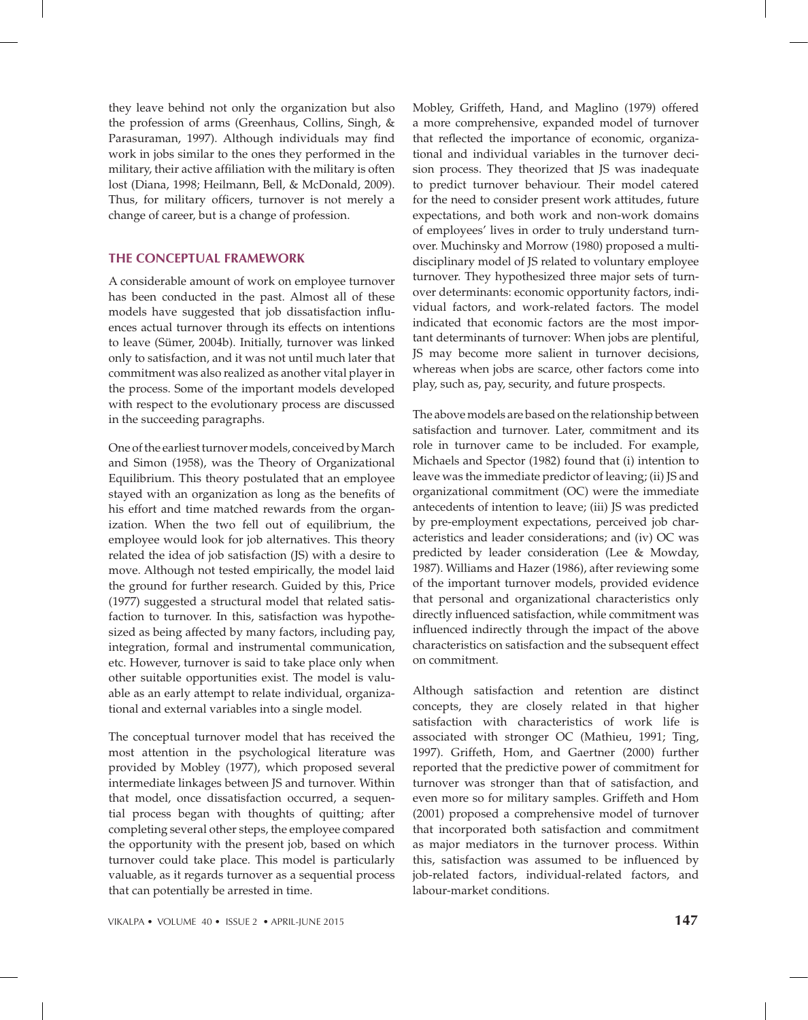they leave behind not only the organization but also the profession of arms (Greenhaus, Collins, Singh, & Parasuraman, 1997). Although individuals may find work in jobs similar to the ones they performed in the military, their active affiliation with the military is often lost (Diana, 1998; Heilmann, Bell, & McDonald, 2009). Thus, for military officers, turnover is not merely a change of career, but is a change of profession.

## **THE CONCEPTUAL FRAMEWORK**

A considerable amount of work on employee turnover has been conducted in the past. Almost all of these models have suggested that job dissatisfaction influences actual turnover through its effects on intentions to leave (Sümer, 2004b). Initially, turnover was linked only to satisfaction, and it was not until much later that commitment was also realized as another vital player in the process. Some of the important models developed with respect to the evolutionary process are discussed in the succeeding paragraphs.

One of the earliest turnover models, conceived by March and Simon (1958), was the Theory of Organizational Equilibrium. This theory postulated that an employee stayed with an organization as long as the benefits of his effort and time matched rewards from the organization. When the two fell out of equilibrium, the employee would look for job alternatives. This theory related the idea of job satisfaction (JS) with a desire to move. Although not tested empirically, the model laid the ground for further research. Guided by this, Price (1977) suggested a structural model that related satisfaction to turnover. In this, satisfaction was hypothesized as being affected by many factors, including pay, integration, formal and instrumental communication, etc. However, turnover is said to take place only when other suitable opportunities exist. The model is valuable as an early attempt to relate individual, organizational and external variables into a single model.

The conceptual turnover model that has received the most attention in the psychological literature was provided by Mobley (1977), which proposed several intermediate linkages between JS and turnover. Within that model, once dissatisfaction occurred, a sequential process began with thoughts of quitting; after completing several other steps, the employee compared the opportunity with the present job, based on which turnover could take place. This model is particularly valuable, as it regards turnover as a sequential process that can potentially be arrested in time.

Mobley, Griffeth, Hand, and Maglino (1979) offered a more comprehensive, expanded model of turnover that reflected the importance of economic, organizational and individual variables in the turnover decision process. They theorized that JS was inadequate to predict turnover behaviour. Their model catered for the need to consider present work attitudes, future expectations, and both work and non-work domains of employees' lives in order to truly understand turnover. Muchinsky and Morrow (1980) proposed a multidisciplinary model of JS related to voluntary employee turnover. They hypothesized three major sets of turnover determinants: economic opportunity factors, individual factors, and work-related factors. The model indicated that economic factors are the most important determinants of turnover: When jobs are plentiful, JS may become more salient in turnover decisions, whereas when jobs are scarce, other factors come into play, such as, pay, security, and future prospects.

The above models are based on the relationship between satisfaction and turnover. Later, commitment and its role in turnover came to be included. For example, Michaels and Spector (1982) found that (i) intention to leave was the immediate predictor of leaving; (ii) JS and organizational commitment (OC) were the immediate antecedents of intention to leave; (iii) JS was predicted by pre-employment expectations, perceived job characteristics and leader considerations; and (iv) OC was predicted by leader consideration (Lee & Mowday, 1987). Williams and Hazer (1986), after reviewing some of the important turnover models, provided evidence that personal and organizational characteristics only directly influenced satisfaction, while commitment was influenced indirectly through the impact of the above characteristics on satisfaction and the subsequent effect on commitment.

Although satisfaction and retention are distinct concepts, they are closely related in that higher satisfaction with characteristics of work life is associated with stronger OC (Mathieu, 1991; Ting, 1997). Griffeth, Hom, and Gaertner (2000) further reported that the predictive power of commitment for turnover was stronger than that of satisfaction, and even more so for military samples. Griffeth and Hom (2001) proposed a comprehensive model of turnover that incorporated both satisfaction and commitment as major mediators in the turnover process. Within this, satisfaction was assumed to be influenced by job-related factors, individual-related factors, and labour-market conditions.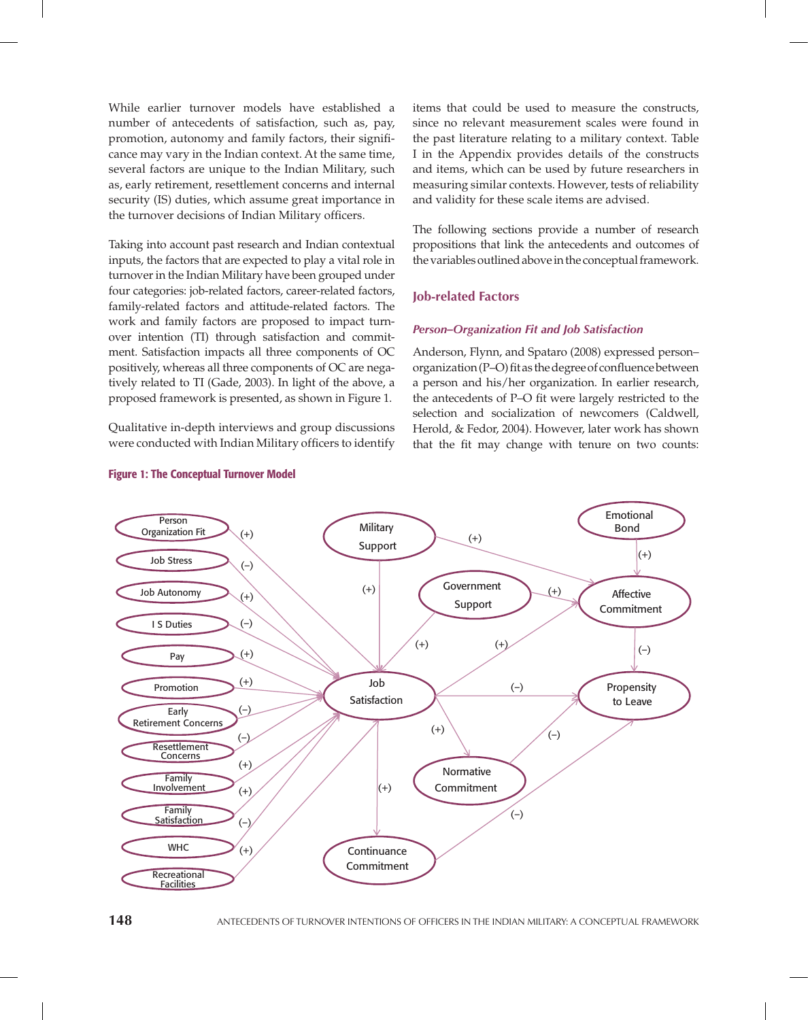While earlier turnover models have established a number of antecedents of satisfaction, such as, pay, promotion, autonomy and family factors, their significance may vary in the Indian context. At the same time, several factors are unique to the Indian Military, such as, early retirement, resettlement concerns and internal security (IS) duties, which assume great importance in the turnover decisions of Indian Military officers.

Taking into account past research and Indian contextual inputs, the factors that are expected to play a vital role in turnover in the Indian Military have been grouped under four categories: job-related factors, career-related factors, family-related factors and attitude-related factors. The work and family factors are proposed to impact turnover intention (TI) through satisfaction and commitment. Satisfaction impacts all three components of OC positively, whereas all three components of OC are negatively related to TI (Gade, 2003). In light of the above, a proposed framework is presented, as shown in Figure 1.

Qualitative in-depth interviews and group discussions were conducted with Indian Military officers to identify items that could be used to measure the constructs, since no relevant measurement scales were found in the past literature relating to a military context. Table I in the Appendix provides details of the constructs and items, which can be used by future researchers in measuring similar contexts. However, tests of reliability and validity for these scale items are advised.

The following sections provide a number of research propositions that link the antecedents and outcomes of the variables outlined above in the conceptual framework.

# **Job-related Factors**

#### *Person–Organization Fit and Job Satisfaction*

Anderson, Flynn, and Spataro (2008) expressed person– organization (P–O) fit as the degree of confluence between a person and his/her organization. In earlier research, the antecedents of P–O fit were largely restricted to the selection and socialization of newcomers (Caldwell, Herold, & Fedor, 2004). However, later work has shown that the fit may change with tenure on two counts:



#### Figure 1: The Conceptual Turnover Model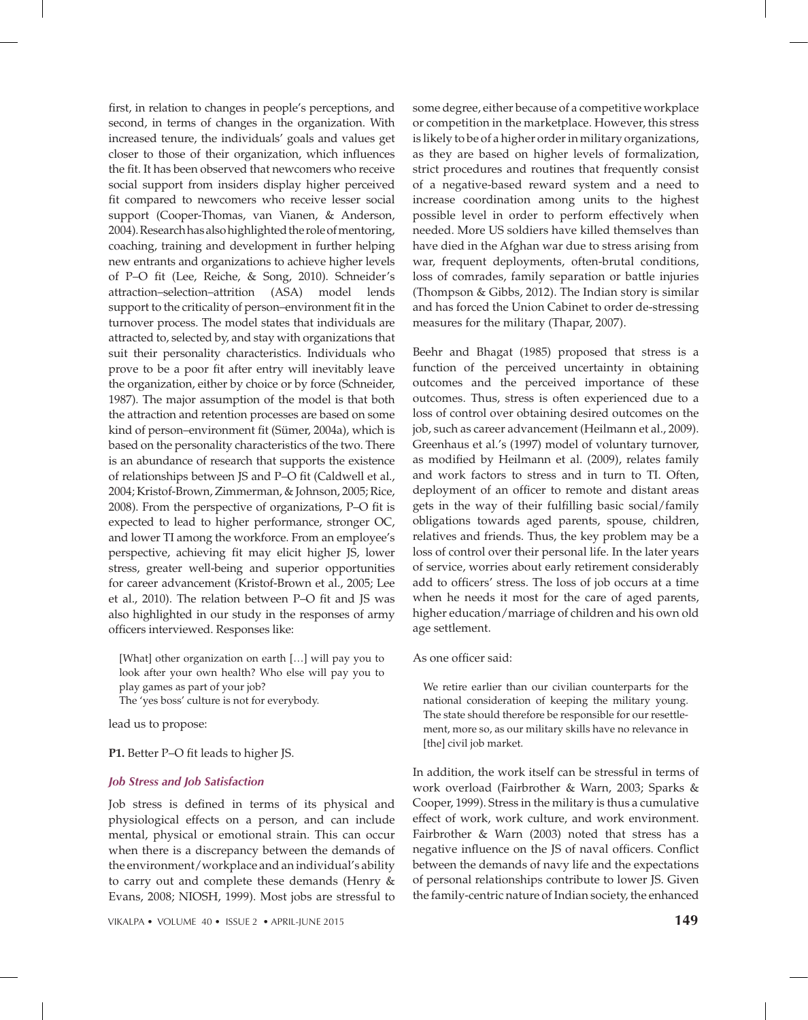first, in relation to changes in people's perceptions, and second, in terms of changes in the organization. With increased tenure, the individuals' goals and values get closer to those of their organization, which influences the fit. It has been observed that newcomers who receive social support from insiders display higher perceived fit compared to newcomers who receive lesser social support (Cooper-Thomas, van Vianen, & Anderson, 2004). Research has also highlighted the role of mentoring, coaching, training and development in further helping new entrants and organizations to achieve higher levels of P–O fit (Lee, Reiche, & Song, 2010). Schneider's attraction–selection–attrition (ASA) model lends support to the criticality of person–environment fit in the turnover process. The model states that individuals are attracted to, selected by, and stay with organizations that suit their personality characteristics. Individuals who prove to be a poor fit after entry will inevitably leave the organization, either by choice or by force (Schneider, 1987). The major assumption of the model is that both the attraction and retention processes are based on some kind of person–environment fit (Sümer, 2004a), which is based on the personality characteristics of the two. There is an abundance of research that supports the existence of relationships between JS and P–O fit (Caldwell et al., 2004; Kristof-Brown, Zimmerman, & Johnson, 2005; Rice, 2008). From the perspective of organizations, P–O fit is expected to lead to higher performance, stronger OC, and lower TI among the workforce. From an employee's perspective, achieving fit may elicit higher JS, lower stress, greater well-being and superior opportunities for career advancement (Kristof-Brown et al., 2005; Lee et al., 2010). The relation between P–O fit and JS was also highlighted in our study in the responses of army officers interviewed. Responses like:

[What] other organization on earth […] will pay you to look after your own health? Who else will pay you to play games as part of your job? The 'yes boss' culture is not for everybody.

lead us to propose:

## **P1.** Better P–O fit leads to higher JS.

## *Job Stress and Job Satisfaction*

Job stress is defined in terms of its physical and physiological effects on a person, and can include mental, physical or emotional strain. This can occur when there is a discrepancy between the demands of the environment/workplace and an individual's ability to carry out and complete these demands (Henry & Evans, 2008; NIOSH, 1999). Most jobs are stressful to some degree, either because of a competitive workplace or competition in the marketplace. However, this stress is likely to be of a higher order in military organizations, as they are based on higher levels of formalization, strict procedures and routines that frequently consist of a negative-based reward system and a need to increase coordination among units to the highest possible level in order to perform effectively when needed. More US soldiers have killed themselves than have died in the Afghan war due to stress arising from war, frequent deployments, often-brutal conditions, loss of comrades, family separation or battle injuries (Thompson & Gibbs, 2012). The Indian story is similar and has forced the Union Cabinet to order de-stressing measures for the military (Thapar, 2007).

Beehr and Bhagat (1985) proposed that stress is a function of the perceived uncertainty in obtaining outcomes and the perceived importance of these outcomes. Thus, stress is often experienced due to a loss of control over obtaining desired outcomes on the job, such as career advancement (Heilmann et al., 2009). Greenhaus et al.'s (1997) model of voluntary turnover, as modified by Heilmann et al. (2009), relates family and work factors to stress and in turn to TI. Often, deployment of an officer to remote and distant areas gets in the way of their fulfilling basic social/family obligations towards aged parents, spouse, children, relatives and friends. Thus, the key problem may be a loss of control over their personal life. In the later years of service, worries about early retirement considerably add to officers' stress. The loss of job occurs at a time when he needs it most for the care of aged parents, higher education/marriage of children and his own old age settlement.

As one officer said:

We retire earlier than our civilian counterparts for the national consideration of keeping the military young. The state should therefore be responsible for our resettlement, more so, as our military skills have no relevance in [the] civil job market.

In addition, the work itself can be stressful in terms of work overload (Fairbrother & Warn, 2003; Sparks & Cooper, 1999). Stress in the military is thus a cumulative effect of work, work culture, and work environment. Fairbrother & Warn (2003) noted that stress has a negative influence on the JS of naval officers. Conflict between the demands of navy life and the expectations of personal relationships contribute to lower JS. Given the family-centric nature of Indian society, the enhanced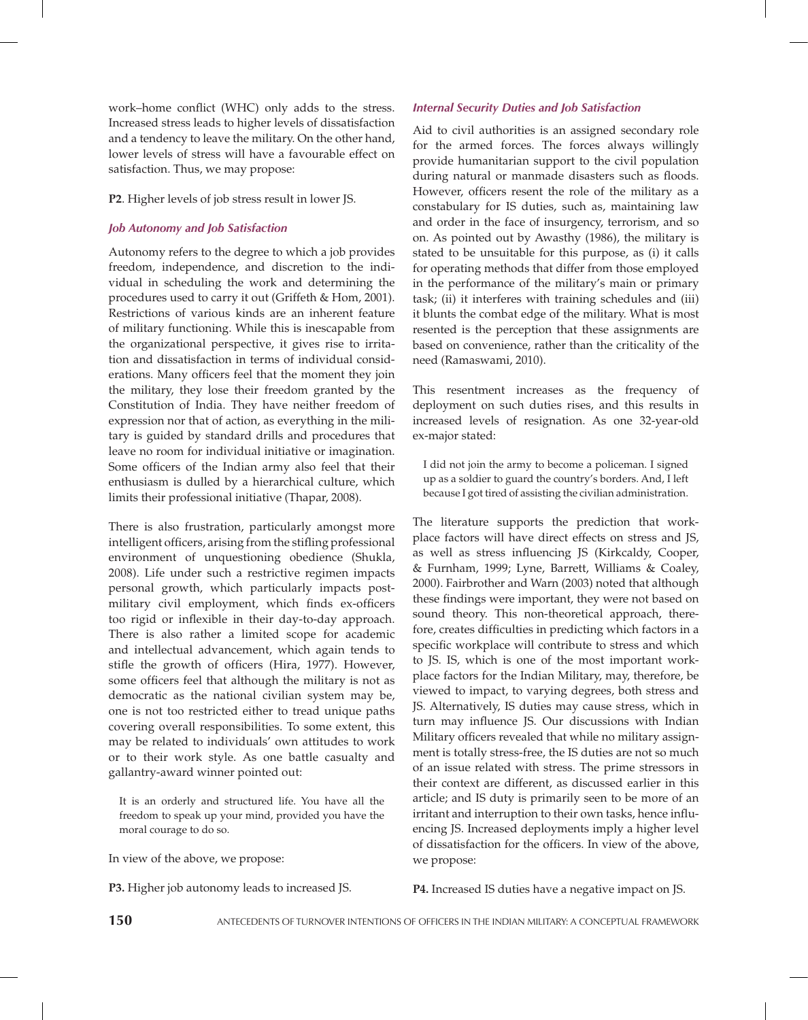work–home conflict (WHC) only adds to the stress. Increased stress leads to higher levels of dissatisfaction and a tendency to leave the military. On the other hand, lower levels of stress will have a favourable effect on satisfaction. Thus, we may propose:

## **P2**. Higher levels of job stress result in lower JS.

## *Job Autonomy and Job Satisfaction*

Autonomy refers to the degree to which a job provides freedom, independence, and discretion to the individual in scheduling the work and determining the procedures used to carry it out (Griffeth & Hom, 2001). Restrictions of various kinds are an inherent feature of military functioning. While this is inescapable from the organizational perspective, it gives rise to irritation and dissatisfaction in terms of individual considerations. Many officers feel that the moment they join the military, they lose their freedom granted by the Constitution of India. They have neither freedom of expression nor that of action, as everything in the military is guided by standard drills and procedures that leave no room for individual initiative or imagination. Some officers of the Indian army also feel that their enthusiasm is dulled by a hierarchical culture, which limits their professional initiative (Thapar, 2008).

There is also frustration, particularly amongst more intelligent officers, arising from the stifling professional environment of unquestioning obedience (Shukla, 2008). Life under such a restrictive regimen impacts personal growth, which particularly impacts postmilitary civil employment, which finds ex-officers too rigid or inflexible in their day-to-day approach. There is also rather a limited scope for academic and intellectual advancement, which again tends to stifle the growth of officers (Hira, 1977). However, some officers feel that although the military is not as democratic as the national civilian system may be, one is not too restricted either to tread unique paths covering overall responsibilities. To some extent, this may be related to individuals' own attitudes to work or to their work style. As one battle casualty and gallantry-award winner pointed out:

It is an orderly and structured life. You have all the freedom to speak up your mind, provided you have the moral courage to do so.

In view of the above, we propose:

**P3.** Higher job autonomy leads to increased JS.

### *Internal Security Duties and Job Satisfaction*

Aid to civil authorities is an assigned secondary role for the armed forces. The forces always willingly provide humanitarian support to the civil population during natural or manmade disasters such as floods. However, officers resent the role of the military as a constabulary for IS duties, such as, maintaining law and order in the face of insurgency, terrorism, and so on. As pointed out by Awasthy (1986), the military is stated to be unsuitable for this purpose, as (i) it calls for operating methods that differ from those employed in the performance of the military's main or primary task; (ii) it interferes with training schedules and (iii) it blunts the combat edge of the military. What is most resented is the perception that these assignments are based on convenience, rather than the criticality of the need (Ramaswami, 2010).

This resentment increases as the frequency of deployment on such duties rises, and this results in increased levels of resignation. As one 32-year-old ex-major stated:

I did not join the army to become a policeman. I signed up as a soldier to guard the country's borders. And, I left because I got tired of assisting the civilian administration.

The literature supports the prediction that workplace factors will have direct effects on stress and JS, as well as stress influencing JS (Kirkcaldy, Cooper, & Furnham, 1999; Lyne, Barrett, Williams & Coaley, 2000). Fairbrother and Warn (2003) noted that although these findings were important, they were not based on sound theory. This non-theoretical approach, therefore, creates difficulties in predicting which factors in a specific workplace will contribute to stress and which to JS. IS, which is one of the most important workplace factors for the Indian Military, may, therefore, be viewed to impact, to varying degrees, both stress and JS. Alternatively, IS duties may cause stress, which in turn may influence JS. Our discussions with Indian Military officers revealed that while no military assignment is totally stress-free, the IS duties are not so much of an issue related with stress. The prime stressors in their context are different, as discussed earlier in this article; and IS duty is primarily seen to be more of an irritant and interruption to their own tasks, hence influencing JS. Increased deployments imply a higher level of dissatisfaction for the officers. In view of the above, we propose:

**P4.** Increased IS duties have a negative impact on JS.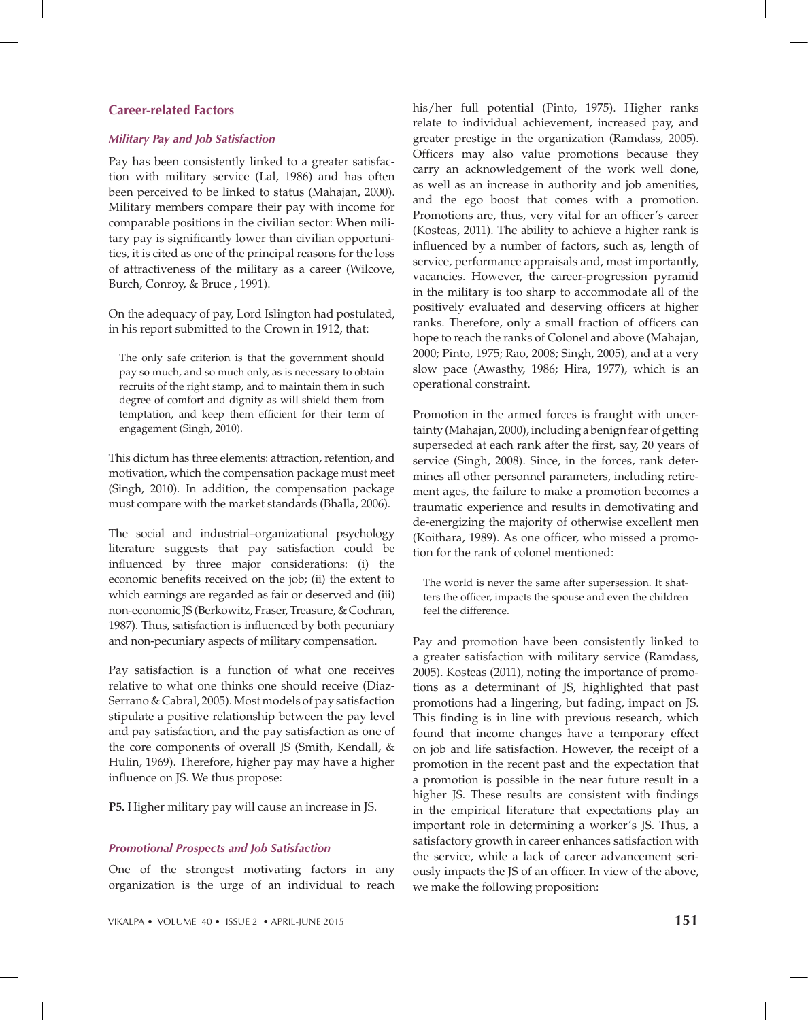# **Career-related Factors**

## *Military Pay and Job Satisfaction*

Pay has been consistently linked to a greater satisfaction with military service (Lal, 1986) and has often been perceived to be linked to status (Mahajan, 2000). Military members compare their pay with income for comparable positions in the civilian sector: When military pay is significantly lower than civilian opportunities, it is cited as one of the principal reasons for the loss of attractiveness of the military as a career (Wilcove, Burch, Conroy, & Bruce , 1991).

On the adequacy of pay, Lord Islington had postulated, in his report submitted to the Crown in 1912, that:

The only safe criterion is that the government should pay so much, and so much only, as is necessary to obtain recruits of the right stamp, and to maintain them in such degree of comfort and dignity as will shield them from temptation, and keep them efficient for their term of engagement (Singh, 2010).

This dictum has three elements: attraction, retention, and motivation, which the compensation package must meet (Singh, 2010). In addition, the compensation package must compare with the market standards (Bhalla, 2006).

The social and industrial–organizational psychology literature suggests that pay satisfaction could be influenced by three major considerations: (i) the economic benefits received on the job; (ii) the extent to which earnings are regarded as fair or deserved and (iii) non-economic JS (Berkowitz, Fraser, Treasure, & Cochran, 1987). Thus, satisfaction is influenced by both pecuniary and non-pecuniary aspects of military compensation.

Pay satisfaction is a function of what one receives relative to what one thinks one should receive (Diaz-Serrano & Cabral, 2005). Most models of pay satisfaction stipulate a positive relationship between the pay level and pay satisfaction, and the pay satisfaction as one of the core components of overall JS (Smith, Kendall, & Hulin, 1969). Therefore, higher pay may have a higher influence on JS. We thus propose:

**P5.** Higher military pay will cause an increase in JS.

#### *Promotional Prospects and Job Satisfaction*

One of the strongest motivating factors in any organization is the urge of an individual to reach his/her full potential (Pinto, 1975). Higher ranks relate to individual achievement, increased pay, and greater prestige in the organization (Ramdass, 2005). Officers may also value promotions because they carry an acknowledgement of the work well done, as well as an increase in authority and job amenities, and the ego boost that comes with a promotion. Promotions are, thus, very vital for an officer's career (Kosteas, 2011). The ability to achieve a higher rank is influenced by a number of factors, such as, length of service, performance appraisals and, most importantly, vacancies. However, the career-progression pyramid in the military is too sharp to accommodate all of the positively evaluated and deserving officers at higher ranks. Therefore, only a small fraction of officers can hope to reach the ranks of Colonel and above (Mahajan, 2000; Pinto, 1975; Rao, 2008; Singh, 2005), and at a very slow pace (Awasthy, 1986; Hira, 1977), which is an operational constraint.

Promotion in the armed forces is fraught with uncertainty (Mahajan, 2000), including a benign fear of getting superseded at each rank after the first, say, 20 years of service (Singh, 2008). Since, in the forces, rank determines all other personnel parameters, including retirement ages, the failure to make a promotion becomes a traumatic experience and results in demotivating and de-energizing the majority of otherwise excellent men (Koithara, 1989). As one officer, who missed a promotion for the rank of colonel mentioned:

The world is never the same after supersession. It shatters the officer, impacts the spouse and even the children feel the difference.

Pay and promotion have been consistently linked to a greater satisfaction with military service (Ramdass, 2005). Kosteas (2011), noting the importance of promotions as a determinant of JS, highlighted that past promotions had a lingering, but fading, impact on JS. This finding is in line with previous research, which found that income changes have a temporary effect on job and life satisfaction. However, the receipt of a promotion in the recent past and the expectation that a promotion is possible in the near future result in a higher JS. These results are consistent with findings in the empirical literature that expectations play an important role in determining a worker's JS. Thus, a satisfactory growth in career enhances satisfaction with the service, while a lack of career advancement seriously impacts the JS of an officer. In view of the above, we make the following proposition: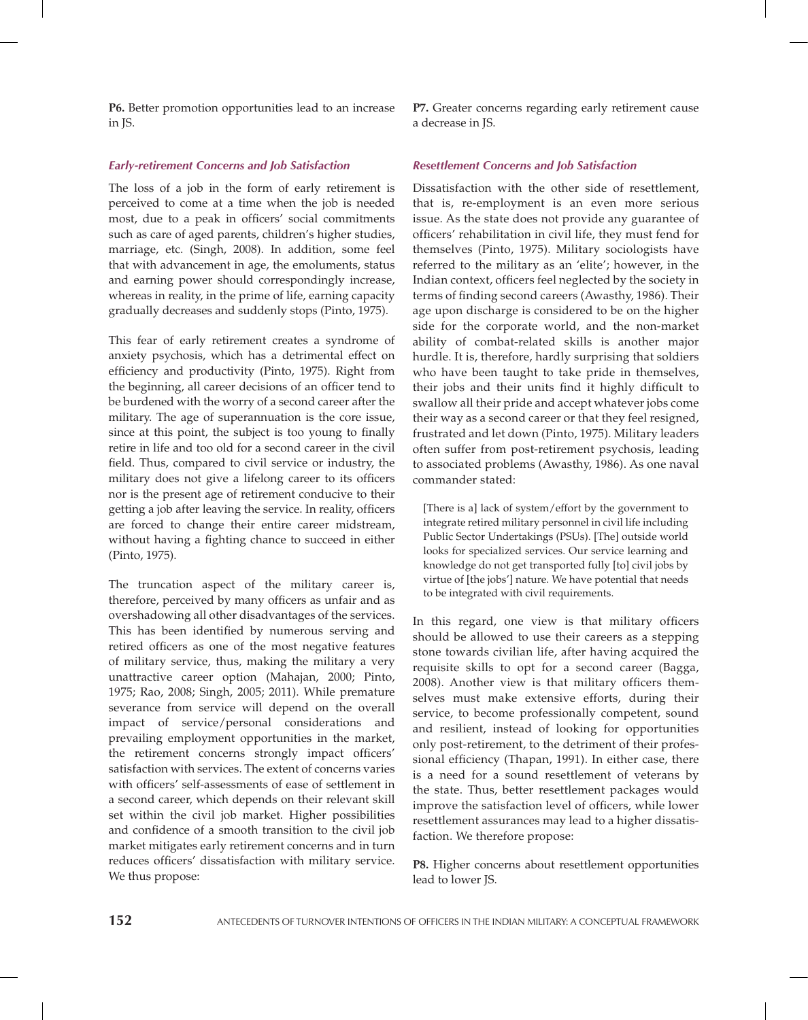**P6.** Better promotion opportunities lead to an increase in JS.

**P7.** Greater concerns regarding early retirement cause a decrease in JS.

## *Early-retirement Concerns and Job Satisfaction*

The loss of a job in the form of early retirement is perceived to come at a time when the job is needed most, due to a peak in officers' social commitments such as care of aged parents, children's higher studies, marriage, etc. (Singh, 2008). In addition, some feel that with advancement in age, the emoluments, status and earning power should correspondingly increase, whereas in reality, in the prime of life, earning capacity gradually decreases and suddenly stops (Pinto, 1975).

This fear of early retirement creates a syndrome of anxiety psychosis, which has a detrimental effect on efficiency and productivity (Pinto, 1975). Right from the beginning, all career decisions of an officer tend to be burdened with the worry of a second career after the military. The age of superannuation is the core issue, since at this point, the subject is too young to finally retire in life and too old for a second career in the civil field. Thus, compared to civil service or industry, the military does not give a lifelong career to its officers nor is the present age of retirement conducive to their getting a job after leaving the service. In reality, officers are forced to change their entire career midstream, without having a fighting chance to succeed in either (Pinto, 1975).

The truncation aspect of the military career is, therefore, perceived by many officers as unfair and as overshadowing all other disadvantages of the services. This has been identified by numerous serving and retired officers as one of the most negative features of military service, thus, making the military a very unattractive career option (Mahajan, 2000; Pinto, 1975; Rao, 2008; Singh, 2005; 2011). While premature severance from service will depend on the overall impact of service/personal considerations and prevailing employment opportunities in the market, the retirement concerns strongly impact officers' satisfaction with services. The extent of concerns varies with officers' self-assessments of ease of settlement in a second career, which depends on their relevant skill set within the civil job market. Higher possibilities and confidence of a smooth transition to the civil job market mitigates early retirement concerns and in turn reduces officers' dissatisfaction with military service. We thus propose:

#### *Resettlement Concerns and Job Satisfaction*

Dissatisfaction with the other side of resettlement, that is, re-employment is an even more serious issue. As the state does not provide any guarantee of officers' rehabilitation in civil life, they must fend for themselves (Pinto, 1975). Military sociologists have referred to the military as an 'elite'; however, in the Indian context, officers feel neglected by the society in terms of finding second careers (Awasthy, 1986). Their age upon discharge is considered to be on the higher side for the corporate world, and the non-market ability of combat-related skills is another major hurdle. It is, therefore, hardly surprising that soldiers who have been taught to take pride in themselves, their jobs and their units find it highly difficult to swallow all their pride and accept whatever jobs come their way as a second career or that they feel resigned, frustrated and let down (Pinto, 1975). Military leaders often suffer from post-retirement psychosis, leading to associated problems (Awasthy, 1986). As one naval commander stated:

[There is a] lack of system/effort by the government to integrate retired military personnel in civil life including Public Sector Undertakings (PSUs). [The] outside world looks for specialized services. Our service learning and knowledge do not get transported fully [to] civil jobs by virtue of [the jobs'] nature. We have potential that needs to be integrated with civil requirements.

In this regard, one view is that military officers should be allowed to use their careers as a stepping stone towards civilian life, after having acquired the requisite skills to opt for a second career (Bagga, 2008). Another view is that military officers themselves must make extensive efforts, during their service, to become professionally competent, sound and resilient, instead of looking for opportunities only post-retirement, to the detriment of their professional efficiency (Thapan, 1991). In either case, there is a need for a sound resettlement of veterans by the state. Thus, better resettlement packages would improve the satisfaction level of officers, while lower resettlement assurances may lead to a higher dissatisfaction. We therefore propose:

**P8.** Higher concerns about resettlement opportunities lead to lower JS.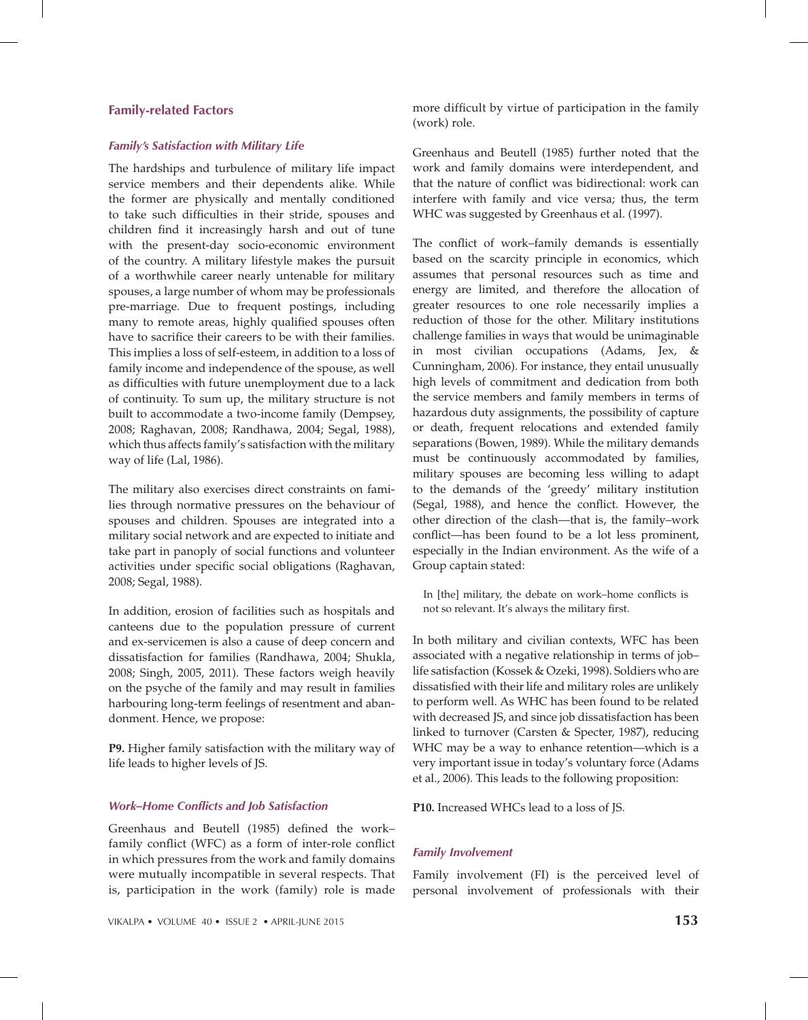# **Family-related Factors**

#### *Family's Satisfaction with Military Life*

The hardships and turbulence of military life impact service members and their dependents alike. While the former are physically and mentally conditioned to take such difficulties in their stride, spouses and children find it increasingly harsh and out of tune with the present-day socio-economic environment of the country. A military lifestyle makes the pursuit of a worthwhile career nearly untenable for military spouses, a large number of whom may be professionals pre-marriage. Due to frequent postings, including many to remote areas, highly qualified spouses often have to sacrifice their careers to be with their families. This implies a loss of self-esteem, in addition to a loss of family income and independence of the spouse, as well as difficulties with future unemployment due to a lack of continuity. To sum up, the military structure is not built to accommodate a two-income family (Dempsey, 2008; Raghavan, 2008; Randhawa, 2004; Segal, 1988), which thus affects family's satisfaction with the military way of life (Lal, 1986).

The military also exercises direct constraints on families through normative pressures on the behaviour of spouses and children. Spouses are integrated into a military social network and are expected to initiate and take part in panoply of social functions and volunteer activities under specific social obligations (Raghavan, 2008; Segal, 1988).

In addition, erosion of facilities such as hospitals and canteens due to the population pressure of current and ex-servicemen is also a cause of deep concern and dissatisfaction for families (Randhawa, 2004; Shukla, 2008; Singh, 2005, 2011). These factors weigh heavily on the psyche of the family and may result in families harbouring long-term feelings of resentment and abandonment. Hence, we propose:

**P9.** Higher family satisfaction with the military way of life leads to higher levels of JS.

#### *Work–Home Conflicts and Job Satisfaction*

Greenhaus and Beutell (1985) defined the work– family conflict (WFC) as a form of inter-role conflict in which pressures from the work and family domains were mutually incompatible in several respects. That is, participation in the work (family) role is made more difficult by virtue of participation in the family (work) role.

Greenhaus and Beutell (1985) further noted that the work and family domains were interdependent, and that the nature of conflict was bidirectional: work can interfere with family and vice versa; thus, the term WHC was suggested by Greenhaus et al. (1997).

The conflict of work–family demands is essentially based on the scarcity principle in economics, which assumes that personal resources such as time and energy are limited, and therefore the allocation of greater resources to one role necessarily implies a reduction of those for the other. Military institutions challenge families in ways that would be unimaginable in most civilian occupations (Adams, Jex, & Cunningham, 2006). For instance, they entail unusually high levels of commitment and dedication from both the service members and family members in terms of hazardous duty assignments, the possibility of capture or death, frequent relocations and extended family separations (Bowen, 1989). While the military demands must be continuously accommodated by families, military spouses are becoming less willing to adapt to the demands of the 'greedy' military institution (Segal, 1988), and hence the conflict. However, the other direction of the clash—that is, the family–work conflict—has been found to be a lot less prominent, especially in the Indian environment. As the wife of a Group captain stated:

In [the] military, the debate on work–home conflicts is not so relevant. It's always the military first.

In both military and civilian contexts, WFC has been associated with a negative relationship in terms of job– life satisfaction (Kossek & Ozeki, 1998). Soldiers who are dissatisfied with their life and military roles are unlikely to perform well. As WHC has been found to be related with decreased JS, and since job dissatisfaction has been linked to turnover (Carsten & Specter, 1987), reducing WHC may be a way to enhance retention—which is a very important issue in today's voluntary force (Adams et al., 2006). This leads to the following proposition:

**P10.** Increased WHCs lead to a loss of JS.

#### *Family Involvement*

Family involvement (FI) is the perceived level of personal involvement of professionals with their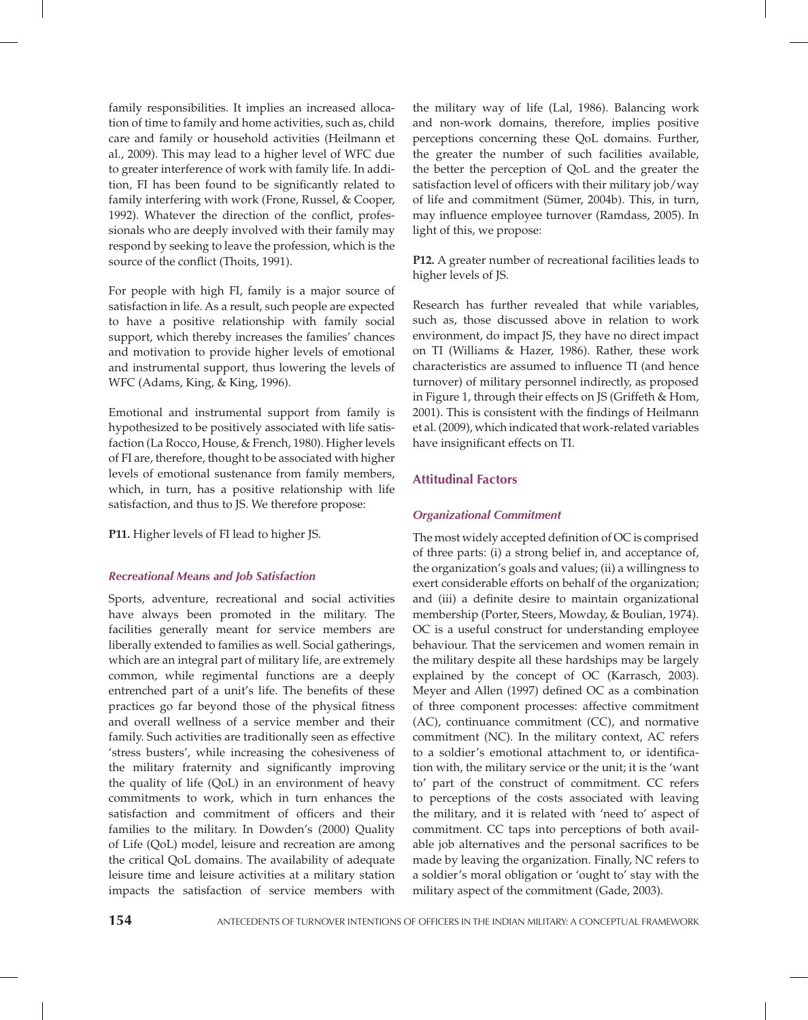family responsibilities. It implies an increased allocation of time to family and home activities, such as, child care and family or household activities (Heilmann et al., 2009). This may lead to a higher level of WFC due to greater interference of work with family life. In addition, FI has been found to be significantly related to family interfering with work (Frone, Russel, & Cooper, 1992). Whatever the direction of the conflict, professionals who are deeply involved with their family may respond by seeking to leave the profession, which is the source of the conflict (Thoits, 1991).

For people with high FI, family is a major source of satisfaction in life. As a result, such people are expected to have a positive relationship with family social support, which thereby increases the families' chances and motivation to provide higher levels of emotional and instrumental support, thus lowering the levels of WFC (Adams, King, & King, 1996).

Emotional and instrumental support from family is hypothesized to be positively associated with life satisfaction (La Rocco, House, & French, 1980). Higher levels of FI are, therefore, thought to be associated with higher levels of emotional sustenance from family members, which, in turn, has a positive relationship with life satisfaction, and thus to JS. We therefore propose:

**P11.** Higher levels of FI lead to higher JS.

## *Recreational Means and Job Satisfaction*

Sports, adventure, recreational and social activities have always been promoted in the military. The facilities generally meant for service members are liberally extended to families as well. Social gatherings, which are an integral part of military life, are extremely common, while regimental functions are a deeply entrenched part of a unit's life. The benefits of these practices go far beyond those of the physical fitness and overall wellness of a service member and their family. Such activities are traditionally seen as effective 'stress busters', while increasing the cohesiveness of the military fraternity and significantly improving the quality of life (QoL) in an environment of heavy commitments to work, which in turn enhances the satisfaction and commitment of officers and their families to the military. In Dowden's (2000) Quality of Life (QoL) model, leisure and recreation are among the critical QoL domains. The availability of adequate leisure time and leisure activities at a military station impacts the satisfaction of service members with the military way of life (Lal, 1986). Balancing work and non-work domains, therefore, implies positive perceptions concerning these QoL domains. Further, the greater the number of such facilities available, the better the perception of QoL and the greater the satisfaction level of officers with their military job/way of life and commitment (Sümer, 2004b). This, in turn, may influence employee turnover (Ramdass, 2005). In light of this, we propose:

**P12.** A greater number of recreational facilities leads to higher levels of JS.

Research has further revealed that while variables, such as, those discussed above in relation to work environment, do impact JS, they have no direct impact on TI (Williams & Hazer, 1986). Rather, these work characteristics are assumed to influence TI (and hence turnover) of military personnel indirectly, as proposed in Figure 1, through their effects on JS (Griffeth & Hom, 2001). This is consistent with the findings of Heilmann et al. (2009), which indicated that work-related variables have insignificant effects on TI.

# **Attitudinal Factors**

# *Organizational Commitment*

The most widely accepted definition of OC is comprised of three parts: (i) a strong belief in, and acceptance of, the organization's goals and values; (ii) a willingness to exert considerable efforts on behalf of the organization; and (iii) a definite desire to maintain organizational membership (Porter, Steers, Mowday, & Boulian, 1974). OC is a useful construct for understanding employee behaviour. That the servicemen and women remain in the military despite all these hardships may be largely explained by the concept of OC (Karrasch, 2003). Meyer and Allen (1997) defined OC as a combination of three component processes: affective commitment (AC), continuance commitment (CC), and normative commitment (NC). In the military context, AC refers to a soldier's emotional attachment to, or identification with, the military service or the unit; it is the 'want to' part of the construct of commitment. CC refers to perceptions of the costs associated with leaving the military, and it is related with 'need to' aspect of commitment. CC taps into perceptions of both available job alternatives and the personal sacrifices to be made by leaving the organization. Finally, NC refers to a soldier's moral obligation or 'ought to' stay with the military aspect of the commitment (Gade, 2003).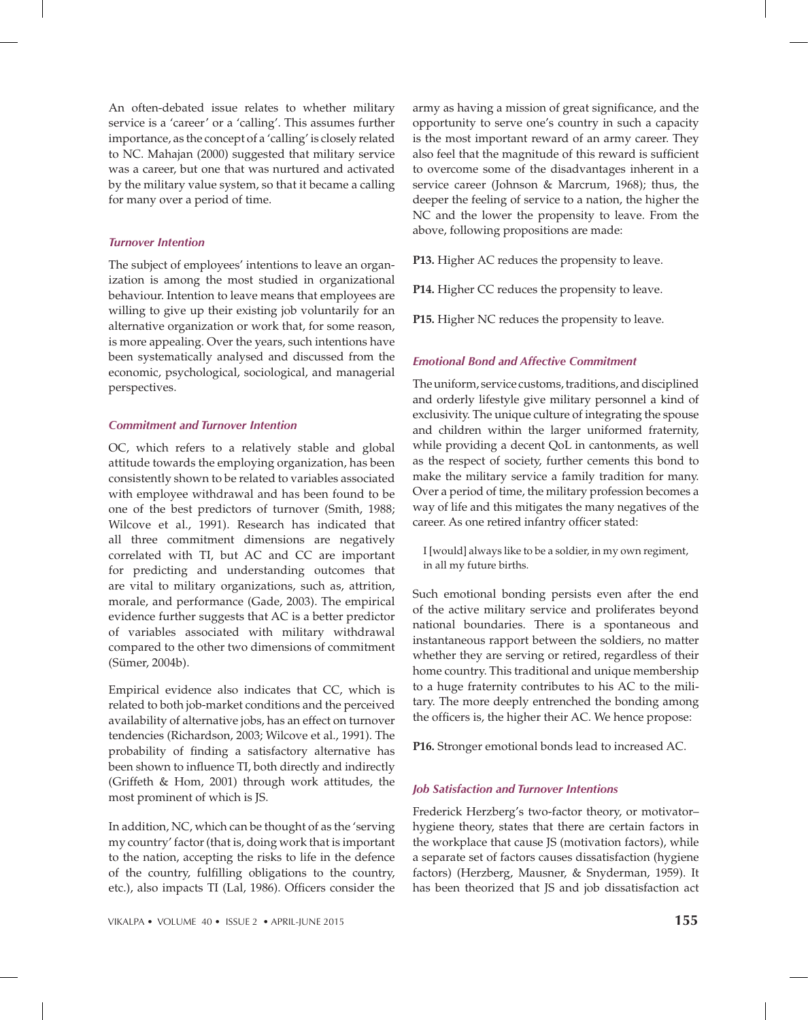An often-debated issue relates to whether military service is a 'career' or a 'calling'. This assumes further importance, as the concept of a 'calling' is closely related to NC. Mahajan (2000) suggested that military service was a career, but one that was nurtured and activated by the military value system, so that it became a calling for many over a period of time.

## *Turnover Intention*

The subject of employees' intentions to leave an organization is among the most studied in organizational behaviour. Intention to leave means that employees are willing to give up their existing job voluntarily for an alternative organization or work that, for some reason, is more appealing. Over the years, such intentions have been systematically analysed and discussed from the economic, psychological, sociological, and managerial perspectives.

### *Commitment and Turnover Intention*

OC, which refers to a relatively stable and global attitude towards the employing organization, has been consistently shown to be related to variables associated with employee withdrawal and has been found to be one of the best predictors of turnover (Smith, 1988; Wilcove et al., 1991). Research has indicated that all three commitment dimensions are negatively correlated with TI, but AC and CC are important for predicting and understanding outcomes that are vital to military organizations, such as, attrition, morale, and performance (Gade, 2003). The empirical evidence further suggests that AC is a better predictor of variables associated with military withdrawal compared to the other two dimensions of commitment (Sümer, 2004b).

Empirical evidence also indicates that CC, which is related to both job-market conditions and the perceived availability of alternative jobs, has an effect on turnover tendencies (Richardson, 2003; Wilcove et al., 1991). The probability of finding a satisfactory alternative has been shown to influence TI, both directly and indirectly (Griffeth & Hom, 2001) through work attitudes, the most prominent of which is JS.

In addition, NC, which can be thought of as the 'serving my country' factor (that is, doing work that is important to the nation, accepting the risks to life in the defence of the country, fulfilling obligations to the country, etc.), also impacts TI (Lal, 1986). Officers consider the army as having a mission of great significance, and the opportunity to serve one's country in such a capacity is the most important reward of an army career. They also feel that the magnitude of this reward is sufficient to overcome some of the disadvantages inherent in a service career (Johnson & Marcrum, 1968); thus, the deeper the feeling of service to a nation, the higher the NC and the lower the propensity to leave. From the above, following propositions are made:

**P13.** Higher AC reduces the propensity to leave.

**P14.** Higher CC reduces the propensity to leave.

**P15.** Higher NC reduces the propensity to leave.

## *Emotional Bond and Affective Commitment*

The uniform, service customs, traditions, and disciplined and orderly lifestyle give military personnel a kind of exclusivity. The unique culture of integrating the spouse and children within the larger uniformed fraternity, while providing a decent QoL in cantonments, as well as the respect of society, further cements this bond to make the military service a family tradition for many. Over a period of time, the military profession becomes a way of life and this mitigates the many negatives of the career. As one retired infantry officer stated:

I [would] always like to be a soldier, in my own regiment, in all my future births.

Such emotional bonding persists even after the end of the active military service and proliferates beyond national boundaries. There is a spontaneous and instantaneous rapport between the soldiers, no matter whether they are serving or retired, regardless of their home country. This traditional and unique membership to a huge fraternity contributes to his AC to the military. The more deeply entrenched the bonding among the officers is, the higher their AC. We hence propose:

**P16.** Stronger emotional bonds lead to increased AC.

## *Job Satisfaction and Turnover Intentions*

Frederick Herzberg's two-factor theory, or motivator– hygiene theory, states that there are certain factors in the workplace that cause JS (motivation factors), while a separate set of factors causes dissatisfaction (hygiene factors) (Herzberg, Mausner, & Snyderman, 1959). It has been theorized that JS and job dissatisfaction act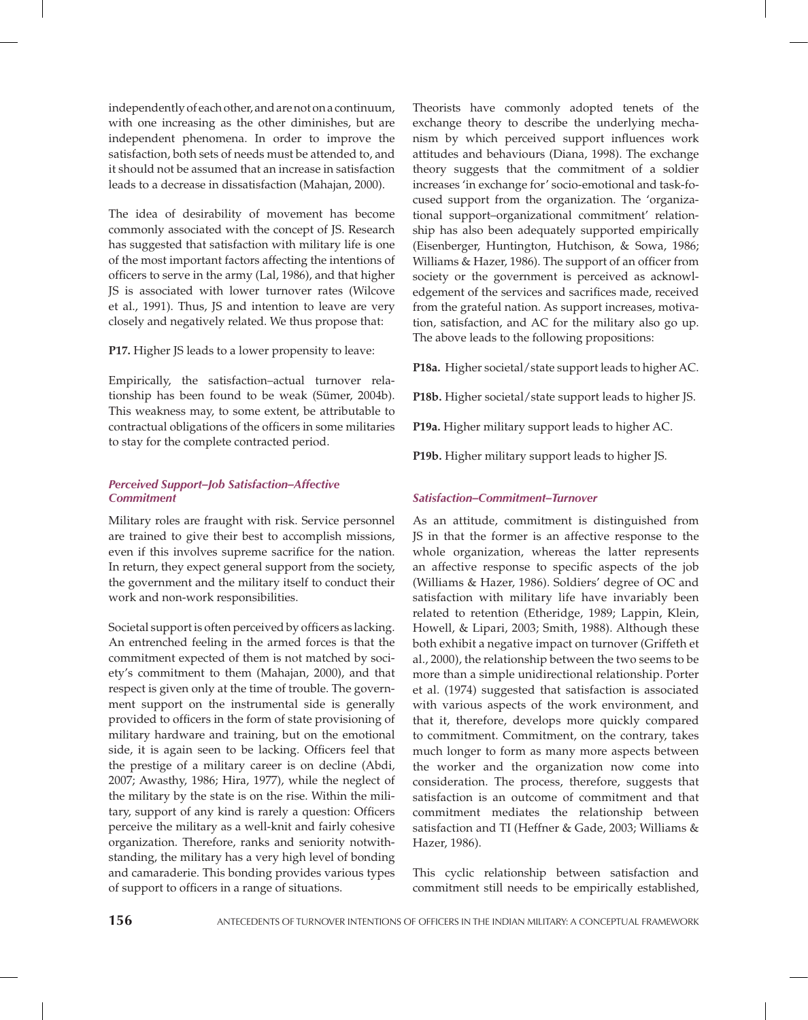independently of each other, and are not on a continuum, with one increasing as the other diminishes, but are independent phenomena. In order to improve the satisfaction, both sets of needs must be attended to, and it should not be assumed that an increase in satisfaction leads to a decrease in dissatisfaction (Mahajan, 2000).

The idea of desirability of movement has become commonly associated with the concept of JS. Research has suggested that satisfaction with military life is one of the most important factors affecting the intentions of officers to serve in the army (Lal, 1986), and that higher JS is associated with lower turnover rates (Wilcove et al., 1991). Thus, JS and intention to leave are very closely and negatively related. We thus propose that:

**P17.** Higher JS leads to a lower propensity to leave:

Empirically, the satisfaction–actual turnover relationship has been found to be weak (Sümer, 2004b). This weakness may, to some extent, be attributable to contractual obligations of the officers in some militaries to stay for the complete contracted period.

# *Perceived Support–Job Satisfaction–Affective Commitment*

Military roles are fraught with risk. Service personnel are trained to give their best to accomplish missions, even if this involves supreme sacrifice for the nation. In return, they expect general support from the society, the government and the military itself to conduct their work and non-work responsibilities.

Societal support is often perceived by officers as lacking. An entrenched feeling in the armed forces is that the commitment expected of them is not matched by society's commitment to them (Mahajan, 2000), and that respect is given only at the time of trouble. The government support on the instrumental side is generally provided to officers in the form of state provisioning of military hardware and training, but on the emotional side, it is again seen to be lacking. Officers feel that the prestige of a military career is on decline (Abdi, 2007; Awasthy, 1986; Hira, 1977), while the neglect of the military by the state is on the rise. Within the military, support of any kind is rarely a question: Officers perceive the military as a well-knit and fairly cohesive organization. Therefore, ranks and seniority notwithstanding, the military has a very high level of bonding and camaraderie. This bonding provides various types of support to officers in a range of situations.

Theorists have commonly adopted tenets of the exchange theory to describe the underlying mechanism by which perceived support influences work attitudes and behaviours (Diana, 1998). The exchange theory suggests that the commitment of a soldier increases 'in exchange for' socio-emotional and task-focused support from the organization. The 'organizational support–organizational commitment' relationship has also been adequately supported empirically (Eisenberger, Huntington, Hutchison, & Sowa, 1986; Williams & Hazer, 1986). The support of an officer from society or the government is perceived as acknowledgement of the services and sacrifices made, received from the grateful nation. As support increases, motivation, satisfaction, and AC for the military also go up. The above leads to the following propositions:

**P18a.** Higher societal/state support leads to higher AC.

**P18b.** Higher societal/state support leads to higher JS.

**P19a.** Higher military support leads to higher AC.

**P19b.** Higher military support leads to higher JS.

# *Satisfaction–Commitment–Turnover*

As an attitude, commitment is distinguished from JS in that the former is an affective response to the whole organization, whereas the latter represents an affective response to specific aspects of the job (Williams & Hazer, 1986). Soldiers' degree of OC and satisfaction with military life have invariably been related to retention (Etheridge, 1989; Lappin, Klein, Howell, & Lipari, 2003; Smith, 1988). Although these both exhibit a negative impact on turnover (Griffeth et al., 2000), the relationship between the two seems to be more than a simple unidirectional relationship. Porter et al. (1974) suggested that satisfaction is associated with various aspects of the work environment, and that it, therefore, develops more quickly compared to commitment. Commitment, on the contrary, takes much longer to form as many more aspects between the worker and the organization now come into consideration. The process, therefore, suggests that satisfaction is an outcome of commitment and that commitment mediates the relationship between satisfaction and TI (Heffner & Gade, 2003; Williams & Hazer, 1986).

This cyclic relationship between satisfaction and commitment still needs to be empirically established,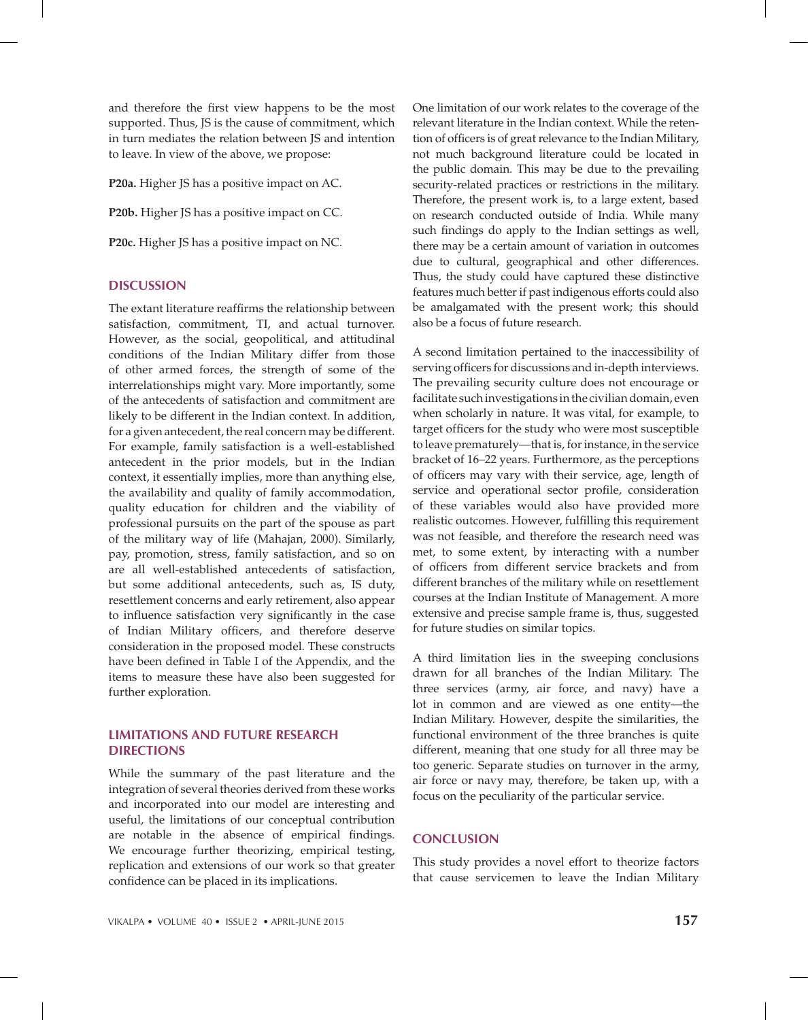and therefore the first view happens to be the most supported. Thus, JS is the cause of commitment, which in turn mediates the relation between JS and intention to leave. In view of the above, we propose:

**P20a.** Higher JS has a positive impact on AC.

**P20b.** Higher JS has a positive impact on CC.

**P20c.** Higher JS has a positive impact on NC.

# **DISCUSSION**

The extant literature reaffirms the relationship between satisfaction, commitment, TI, and actual turnover. However, as the social, geopolitical, and attitudinal conditions of the Indian Military differ from those of other armed forces, the strength of some of the interrelationships might vary. More importantly, some of the antecedents of satisfaction and commitment are likely to be different in the Indian context. In addition, for a given antecedent, the real concern may be different. For example, family satisfaction is a well-established antecedent in the prior models, but in the Indian context, it essentially implies, more than anything else, the availability and quality of family accommodation, quality education for children and the viability of professional pursuits on the part of the spouse as part of the military way of life (Mahajan, 2000). Similarly, pay, promotion, stress, family satisfaction, and so on are all well-established antecedents of satisfaction, but some additional antecedents, such as, IS duty, resettlement concerns and early retirement, also appear to influence satisfaction very significantly in the case of Indian Military officers, and therefore deserve consideration in the proposed model. These constructs have been defined in Table I of the Appendix, and the items to measure these have also been suggested for further exploration.

# **LIMITATIONS AND FUTURE RESEARCH DIRECTIONS**

While the summary of the past literature and the integration of several theories derived from these works and incorporated into our model are interesting and useful, the limitations of our conceptual contribution are notable in the absence of empirical findings. We encourage further theorizing, empirical testing, replication and extensions of our work so that greater confidence can be placed in its implications.

One limitation of our work relates to the coverage of the relevant literature in the Indian context. While the retention of officers is of great relevance to the Indian Military, not much background literature could be located in the public domain. This may be due to the prevailing security-related practices or restrictions in the military. Therefore, the present work is, to a large extent, based on research conducted outside of India. While many such findings do apply to the Indian settings as well, there may be a certain amount of variation in outcomes due to cultural, geographical and other differences. Thus, the study could have captured these distinctive features much better if past indigenous efforts could also be amalgamated with the present work; this should also be a focus of future research.

A second limitation pertained to the inaccessibility of serving officers for discussions and in-depth interviews. The prevailing security culture does not encourage or facilitate such investigations in the civilian domain, even when scholarly in nature. It was vital, for example, to target officers for the study who were most susceptible to leave prematurely—that is, for instance, in the service bracket of 16–22 years. Furthermore, as the perceptions of officers may vary with their service, age, length of service and operational sector profile, consideration of these variables would also have provided more realistic outcomes. However, fulfilling this requirement was not feasible, and therefore the research need was met, to some extent, by interacting with a number of officers from different service brackets and from different branches of the military while on resettlement courses at the Indian Institute of Management. A more extensive and precise sample frame is, thus, suggested for future studies on similar topics.

A third limitation lies in the sweeping conclusions drawn for all branches of the Indian Military. The three services (army, air force, and navy) have a lot in common and are viewed as one entity—the Indian Military. However, despite the similarities, the functional environment of the three branches is quite different, meaning that one study for all three may be too generic. Separate studies on turnover in the army, air force or navy may, therefore, be taken up, with a focus on the peculiarity of the particular service.

# **CONCLUSION**

This study provides a novel effort to theorize factors that cause servicemen to leave the Indian Military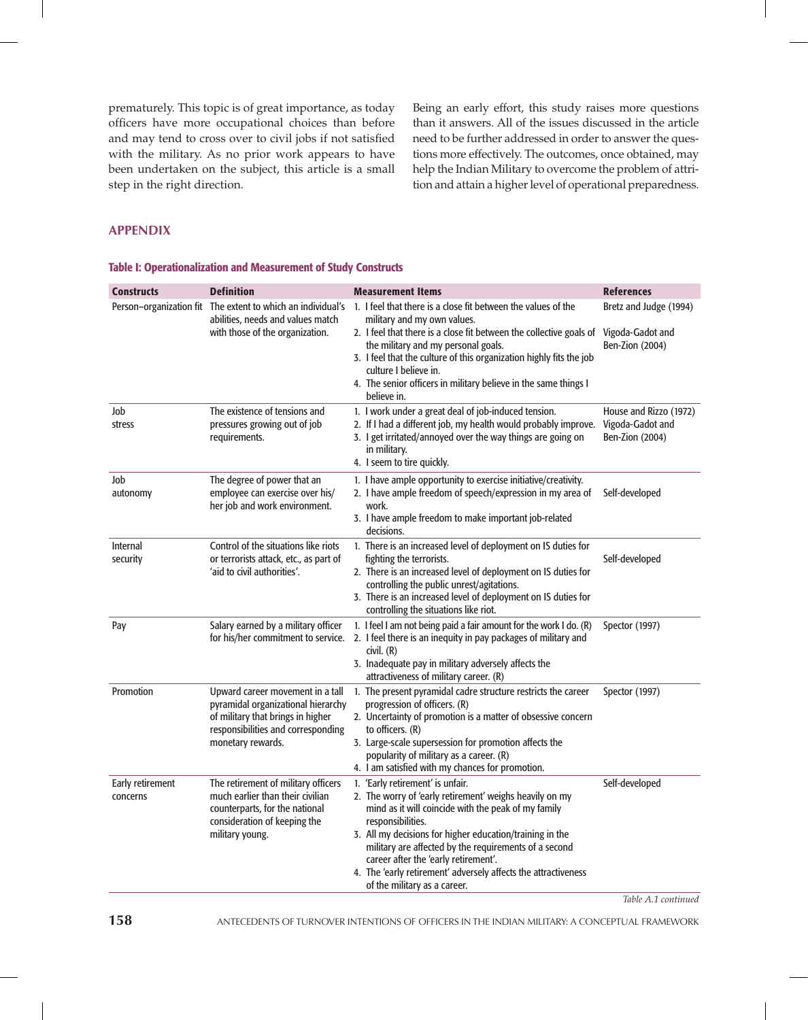prematurely. This topic is of great importance, as today officers have more occupational choices than before and may tend to cross over to civil jobs if not satisfied with the military. As no prior work appears to have been undertaken on the subject, this article is a small step in the right direction.

Being an early effort, this study raises more questions than it answers. All of the issues discussed in the article need to be further addressed in order to answer the questions more effectively. The outcomes, once obtained, may help the Indian Military to overcome the problem of attrition and attain a higher level of operational preparedness.

# **APPENDIX**

#### Table I: Operationalization and Measurement of Study Constructs

| <b>Constructs</b>            | <b>Definition</b>                                                                                                                                                      | <b>Measurement Items</b>                                                                                                                                                                                                                                                                                                                                                                                                               | <b>References</b>                                             |
|------------------------------|------------------------------------------------------------------------------------------------------------------------------------------------------------------------|----------------------------------------------------------------------------------------------------------------------------------------------------------------------------------------------------------------------------------------------------------------------------------------------------------------------------------------------------------------------------------------------------------------------------------------|---------------------------------------------------------------|
|                              | Person-organization fit The extent to which an individual's<br>abilities, needs and values match<br>with those of the organization.                                    | 1. I feel that there is a close fit between the values of the<br>military and my own values.<br>2. I feel that there is a close fit between the collective goals of Vigoda-Gadot and<br>the military and my personal goals.<br>3. I feel that the culture of this organization highly fits the job<br>culture I believe in.<br>4. The senior officers in military believe in the same things I<br>believe in.                          | Bretz and Judge (1994)<br>Ben-Zion (2004)                     |
| Job<br>stress                | The existence of tensions and<br>pressures growing out of job<br>requirements.                                                                                         | 1. I work under a great deal of job-induced tension.<br>2. If I had a different job, my health would probably improve.<br>3. I get irritated/annoyed over the way things are going on<br>in military.<br>4. I seem to tire quickly.                                                                                                                                                                                                    | House and Rizzo (1972)<br>Vigoda-Gadot and<br>Ben-Zion (2004) |
| Job<br>autonomy              | The degree of power that an<br>employee can exercise over his/<br>her job and work environment.                                                                        | 1. I have ample opportunity to exercise initiative/creativity.<br>2. I have ample freedom of speech/expression in my area of<br>work.<br>3. I have ample freedom to make important job-related<br>decisions.                                                                                                                                                                                                                           | Self-developed                                                |
| Internal<br>security         | Control of the situations like riots<br>or terrorists attack, etc., as part of<br>'aid to civil authorities'.                                                          | 1. There is an increased level of deployment on IS duties for<br>fighting the terrorists.<br>2. There is an increased level of deployment on IS duties for<br>controlling the public unrest/agitations.<br>3. There is an increased level of deployment on IS duties for<br>controlling the situations like riot.                                                                                                                      | Self-developed                                                |
| Pay                          | Salary earned by a military officer<br>for his/her commitment to service.                                                                                              | 1. I feel I am not being paid a fair amount for the work I do. (R)<br>2. I feel there is an inequity in pay packages of military and<br>civil. (R)<br>3. Inadequate pay in military adversely affects the<br>attractiveness of military career. (R)                                                                                                                                                                                    | Spector (1997)                                                |
| Promotion                    | Upward career movement in a tall<br>pyramidal organizational hierarchy<br>of military that brings in higher<br>responsibilities and corresponding<br>monetary rewards. | 1. The present pyramidal cadre structure restricts the career<br>progression of officers. (R)<br>2. Uncertainty of promotion is a matter of obsessive concern<br>to officers. (R)<br>3. Large-scale supersession for promotion affects the<br>popularity of military as a career. (R)<br>4. I am satisfied with my chances for promotion.                                                                                              | Spector (1997)                                                |
| Early retirement<br>concerns | The retirement of military officers<br>much earlier than their civilian<br>counterparts, for the national<br>consideration of keeping the<br>military young.           | 1. 'Early retirement' is unfair.<br>2. The worry of 'early retirement' weighs heavily on my<br>mind as it will coincide with the peak of my family<br>responsibilities.<br>3. All my decisions for higher education/training in the<br>military are affected by the requirements of a second<br>career after the 'early retirement'.<br>4. The 'early retirement' adversely affects the attractiveness<br>of the military as a career. | Self-developed                                                |

*Table A.1 continued*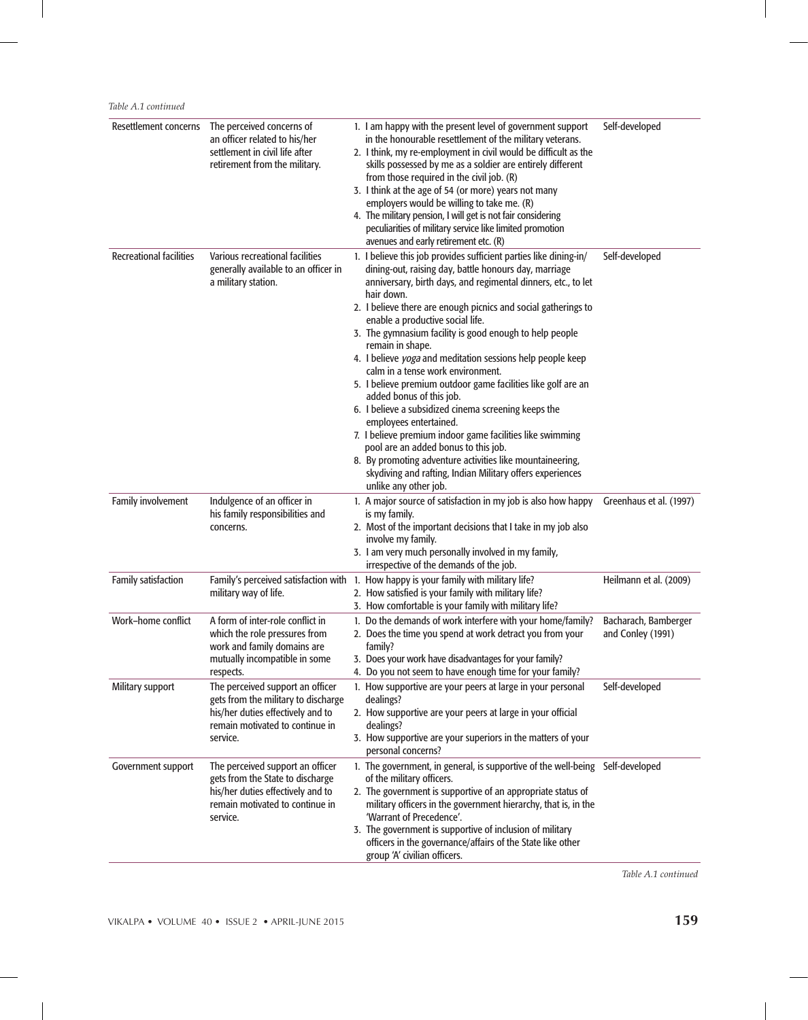| Resettlement concerns          | The perceived concerns of<br>an officer related to his/her<br>settlement in civil life after<br>retirement from the military.                               | 1. I am happy with the present level of government support<br>in the honourable resettlement of the military veterans.<br>2. I think, my re-employment in civil would be difficult as the<br>skills possessed by me as a soldier are entirely different<br>from those required in the civil job. (R)<br>3. I think at the age of 54 (or more) years not many<br>employers would be willing to take me. (R)<br>4. The military pension, I will get is not fair considering<br>peculiarities of military service like limited promotion<br>avenues and early retirement etc. (R)                                                                                                                                                                                                                                                                                                                                                           | Self-developed                            |
|--------------------------------|-------------------------------------------------------------------------------------------------------------------------------------------------------------|------------------------------------------------------------------------------------------------------------------------------------------------------------------------------------------------------------------------------------------------------------------------------------------------------------------------------------------------------------------------------------------------------------------------------------------------------------------------------------------------------------------------------------------------------------------------------------------------------------------------------------------------------------------------------------------------------------------------------------------------------------------------------------------------------------------------------------------------------------------------------------------------------------------------------------------|-------------------------------------------|
| <b>Recreational facilities</b> | Various recreational facilities<br>generally available to an officer in<br>a military station.                                                              | 1. I believe this job provides sufficient parties like dining-in/<br>dining-out, raising day, battle honours day, marriage<br>anniversary, birth days, and regimental dinners, etc., to let<br>hair down.<br>2. I believe there are enough picnics and social gatherings to<br>enable a productive social life.<br>3. The gymnasium facility is good enough to help people<br>remain in shape.<br>4. I believe yoga and meditation sessions help people keep<br>calm in a tense work environment.<br>5. I believe premium outdoor game facilities like golf are an<br>added bonus of this job.<br>6. I believe a subsidized cinema screening keeps the<br>employees entertained.<br>7. I believe premium indoor game facilities like swimming<br>pool are an added bonus to this job.<br>8. By promoting adventure activities like mountaineering,<br>skydiving and rafting, Indian Military offers experiences<br>unlike any other job. | Self-developed                            |
| Family involvement             | Indulgence of an officer in<br>his family responsibilities and<br>concerns.                                                                                 | 1. A major source of satisfaction in my job is also how happy<br>is my family.<br>2. Most of the important decisions that I take in my job also<br>involve my family.<br>3. I am very much personally involved in my family,<br>irrespective of the demands of the job.                                                                                                                                                                                                                                                                                                                                                                                                                                                                                                                                                                                                                                                                  | Greenhaus et al. (1997)                   |
| Family satisfaction            | military way of life.                                                                                                                                       | Family's perceived satisfaction with 1. How happy is your family with military life?<br>2. How satisfied is your family with military life?<br>3. How comfortable is your family with military life?                                                                                                                                                                                                                                                                                                                                                                                                                                                                                                                                                                                                                                                                                                                                     | Heilmann et al. (2009)                    |
| Work-home conflict             | A form of inter-role conflict in<br>which the role pressures from<br>work and family domains are<br>mutually incompatible in some<br>respects.              | 1. Do the demands of work interfere with your home/family?<br>2. Does the time you spend at work detract you from your<br>family?<br>3. Does your work have disadvantages for your family?<br>4. Do you not seem to have enough time for your family?                                                                                                                                                                                                                                                                                                                                                                                                                                                                                                                                                                                                                                                                                    | Bacharach, Bamberger<br>and Conley (1991) |
| Military support               | The perceived support an officer<br>gets from the military to discharge<br>his/her duties effectively and to<br>remain motivated to continue in<br>service. | 1. How supportive are your peers at large in your personal<br>dealings?<br>2. How supportive are your peers at large in your official<br>dealings?<br>3. How supportive are your superiors in the matters of your<br>personal concerns?                                                                                                                                                                                                                                                                                                                                                                                                                                                                                                                                                                                                                                                                                                  | Self-developed                            |
| Government support             | The perceived support an officer<br>gets from the State to discharge<br>his/her duties effectively and to<br>remain motivated to continue in<br>service.    | 1. The government, in general, is supportive of the well-being Self-developed<br>of the military officers.<br>2. The government is supportive of an appropriate status of<br>military officers in the government hierarchy, that is, in the<br>'Warrant of Precedence'.<br>3. The government is supportive of inclusion of military<br>officers in the governance/affairs of the State like other<br>group 'A' civilian officers.                                                                                                                                                                                                                                                                                                                                                                                                                                                                                                        |                                           |

*Table A.1 continued*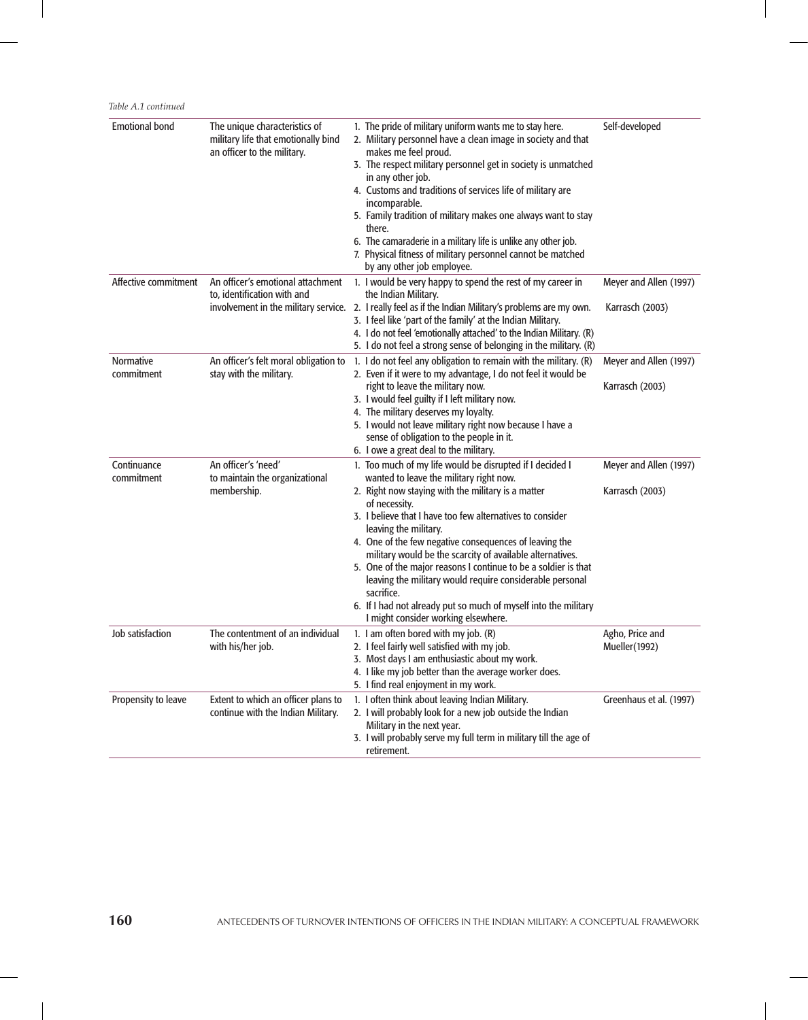| <b>Emotional bond</b>          | The unique characteristics of<br>military life that emotionally bind<br>an officer to the military. | 1. The pride of military uniform wants me to stay here.<br>2. Military personnel have a clean image in society and that<br>makes me feel proud.<br>3. The respect military personnel get in society is unmatched<br>in any other job.<br>4. Customs and traditions of services life of military are<br>incomparable.<br>5. Family tradition of military makes one always want to stay<br>there.<br>6. The camaraderie in a military life is unlike any other job.<br>7. Physical fitness of military personnel cannot be matched<br>by any other job employee.                                                                                | Self-developed                            |
|--------------------------------|-----------------------------------------------------------------------------------------------------|-----------------------------------------------------------------------------------------------------------------------------------------------------------------------------------------------------------------------------------------------------------------------------------------------------------------------------------------------------------------------------------------------------------------------------------------------------------------------------------------------------------------------------------------------------------------------------------------------------------------------------------------------|-------------------------------------------|
| Affective commitment           | An officer's emotional attachment<br>to, identification with and                                    | 1. I would be very happy to spend the rest of my career in<br>the Indian Military.<br>involvement in the military service. 2. I really feel as if the Indian Military's problems are my own.<br>3. I feel like 'part of the family' at the Indian Military.<br>4. I do not feel 'emotionally attached' to the Indian Military. (R)<br>5. I do not feel a strong sense of belonging in the military. (R)                                                                                                                                                                                                                                       | Meyer and Allen (1997)<br>Karrasch (2003) |
| <b>Normative</b><br>commitment | An officer's felt moral obligation to<br>stay with the military.                                    | 1. I do not feel any obligation to remain with the military. (R)<br>2. Even if it were to my advantage, I do not feel it would be<br>right to leave the military now.<br>3. I would feel guilty if I left military now.<br>4. The military deserves my loyalty.<br>5. I would not leave military right now because I have a<br>sense of obligation to the people in it.<br>6. I owe a great deal to the military.                                                                                                                                                                                                                             | Meyer and Allen (1997)<br>Karrasch (2003) |
| Continuance<br>commitment      | An officer's 'need'<br>to maintain the organizational<br>membership.                                | 1. Too much of my life would be disrupted if I decided I<br>wanted to leave the military right now.<br>2. Right now staying with the military is a matter<br>of necessity.<br>3. I believe that I have too few alternatives to consider<br>leaving the military.<br>4. One of the few negative consequences of leaving the<br>military would be the scarcity of available alternatives.<br>5. One of the major reasons I continue to be a soldier is that<br>leaving the military would require considerable personal<br>sacrifice.<br>6. If I had not already put so much of myself into the military<br>I might consider working elsewhere. | Meyer and Allen (1997)<br>Karrasch (2003) |
| Job satisfaction               | The contentment of an individual<br>with his/her job.                                               | 1. I am often bored with my job. (R)<br>2. I feel fairly well satisfied with my job.<br>3. Most days I am enthusiastic about my work.<br>4. I like my job better than the average worker does.<br>5. I find real enjoyment in my work.                                                                                                                                                                                                                                                                                                                                                                                                        | Agho, Price and<br>Mueller(1992)          |
| Propensity to leave            | Extent to which an officer plans to<br>continue with the Indian Military.                           | 1. I often think about leaving Indian Military.<br>2. I will probably look for a new job outside the Indian<br>Military in the next year.<br>3. I will probably serve my full term in military till the age of<br>retirement.                                                                                                                                                                                                                                                                                                                                                                                                                 | Greenhaus et al. (1997)                   |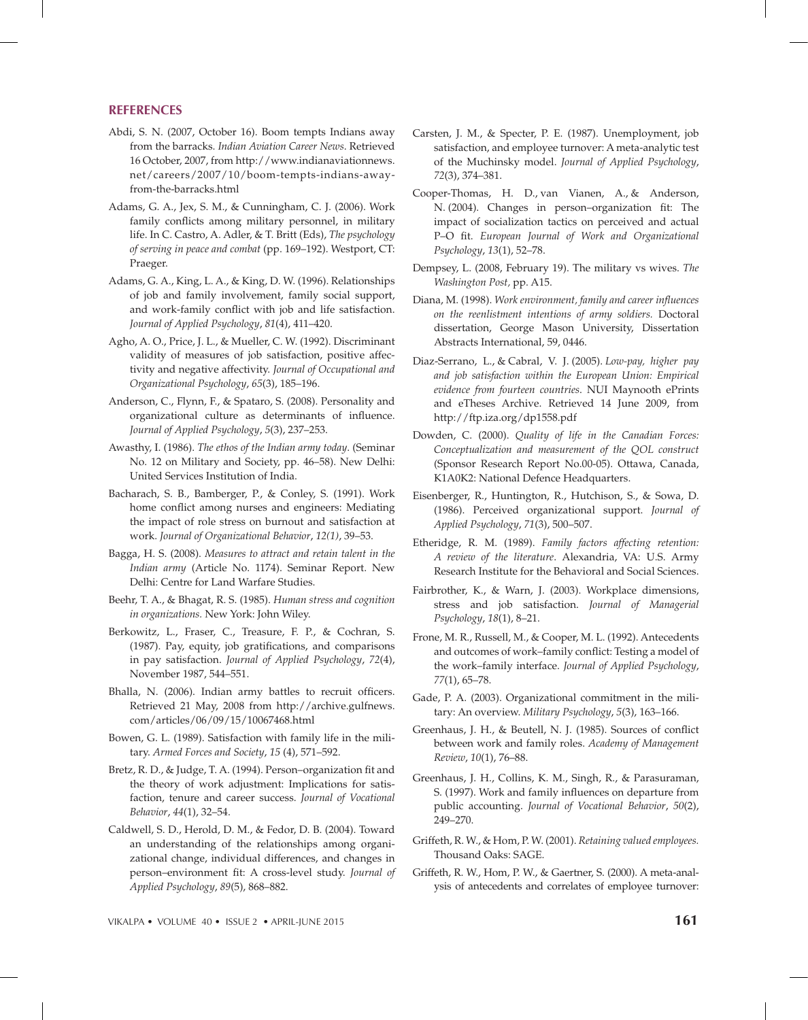## **REFERENCES**

- Abdi, S. N. (2007, October 16). Boom tempts Indians away from the barracks. *Indian Aviation Career News*. Retrieved 16 October, 2007, from http://www.indianaviationnews. net/careers/2007/10/boom-tempts-indians-awayfrom-the-barracks.html
- Adams, G. A., Jex, S. M., & Cunningham, C. J. (2006). Work family conflicts among military personnel, in military life. In C. Castro, A. Adler, & T. Britt (Eds), *The psychology of serving in peace and combat* (pp. 169–192). Westport, CT: Praeger.
- Adams, G. A., King, L. A., & King, D. W. (1996). Relationships of job and family involvement, family social support, and work-family conflict with job and life satisfaction. *Journal of Applied Psychology*, *81*(4), 411–420.
- Agho, A. O., Price, J. L., & Mueller, C. W. (1992). Discriminant validity of measures of job satisfaction, positive affectivity and negative affectivity. *Journal of Occupational and Organizational Psychology*, *65*(3), 185–196.
- Anderson, C., Flynn, F., & Spataro, S. (2008). Personality and organizational culture as determinants of influence. *Journal of Applied Psychology*, *5*(3), 237–253.
- Awasthy, I. (1986). *The ethos of the Indian army today*. (Seminar No. 12 on Military and Society, pp. 46–58). New Delhi: United Services Institution of India.
- Bacharach, S. B., Bamberger, P., & Conley, S. (1991). Work home conflict among nurses and engineers: Mediating the impact of role stress on burnout and satisfaction at work. *Journal of Organizational Behavior*, *12(1)*, 39–53.
- Bagga, H. S. (2008). *Measures to attract and retain talent in the Indian army* (Article No. 1174). Seminar Report. New Delhi: Centre for Land Warfare Studies.
- Beehr, T. A., & Bhagat, R. S. (1985). *Human stress and cognition in organizations.* New York: John Wiley.
- Berkowitz, L., Fraser, C., Treasure, F. P., & Cochran, S. (1987). Pay, equity, job gratifications, and comparisons in pay satisfaction. *Journal of Applied Psychology*, *72*(4), November 1987, 544–551.
- Bhalla, N. (2006). Indian army battles to recruit officers. Retrieved 21 May, 2008 from http://archive.gulfnews. com/articles/06/09/15/10067468.html
- Bowen, G. L. (1989). Satisfaction with family life in the military. *Armed Forces and Society*, *15* (4), 571–592.
- Bretz, R. D., & Judge, T. A. (1994). Person–organization fit and the theory of work adjustment: Implications for satisfaction, tenure and career success. *Journal of Vocational Behavior*, *44*(1), 32–54.
- Caldwell, S. D., Herold, D. M., & Fedor, D. B. (2004). Toward an understanding of the relationships among organizational change, individual differences, and changes in person–environment fit: A cross-level study. *Journal of Applied Psychology*, *89*(5), 868–882.
- Carsten, J. M., & Specter, P. E. (1987). Unemployment, job satisfaction, and employee turnover: A meta-analytic test of the Muchinsky model. *Journal of Applied Psychology*, *72*(3), 374–381.
- Cooper-Thomas, H. D., van Vianen, A., & Anderson, N. (2004). Changes in person–organization fit: The impact of socialization tactics on perceived and actual P–O fit. *European Journal of Work and Organizational Psychology*, *13*(1), 52–78.
- Dempsey, L. (2008, February 19). The military vs wives. *The Washington Post,* pp. A15.
- Diana, M. (1998). *Work environment, family and career influences on the reenlistment intentions of army soldiers.* Doctoral dissertation, George Mason University, Dissertation Abstracts International, 59, 0446.
- Diaz-Serrano, L., & Cabral, V. J. (2005). *Low-pay, higher pay and job satisfaction within the European Union: Empirical evidence from fourteen countries*. NUI Maynooth ePrints and eTheses Archive. Retrieved 14 June 2009, from http://ftp.iza.org/dp1558.pdf
- Dowden, C. (2000). *Quality of life in the Canadian Forces: Conceptualization and measurement of the QOL construct* (Sponsor Research Report No.00-05). Ottawa, Canada, K1A0K2: National Defence Headquarters.
- Eisenberger, R., Huntington, R., Hutchison, S., & Sowa, D. (1986). Perceived organizational support. *Journal of Applied Psychology*, *71*(3), 500–507.
- Etheridge, R. M. (1989). *Family factors affecting retention: A review of the literature*. Alexandria, VA: U.S. Army Research Institute for the Behavioral and Social Sciences.
- Fairbrother, K., & Warn, J. (2003). Workplace dimensions, stress and job satisfaction. *Journal of Managerial Psychology*, *18*(1), 8–21.
- Frone, M. R., Russell, M., & Cooper, M. L. (1992). Antecedents and outcomes of work–family conflict: Testing a model of the work–family interface. *Journal of Applied Psychology*, *77*(1), 65–78.
- Gade, P. A. (2003). Organizational commitment in the military: An overview. *Military Psychology*, *5*(3), 163–166.
- Greenhaus, J. H., & Beutell, N. J. (1985). Sources of conflict between work and family roles. *Academy of Management Review*, *10*(1), 76–88.
- Greenhaus, J. H., Collins, K. M., Singh, R., & Parasuraman, S. (1997). Work and family influences on departure from public accounting. *Journal of Vocational Behavior*, *50*(2), 249–270.
- Griffeth, R. W., & Hom, P. W. (2001). *Retaining valued employees.*  Thousand Oaks: SAGE.
- Griffeth, R. W., Hom, P. W., & Gaertner, S. (2000). A meta-analysis of antecedents and correlates of employee turnover: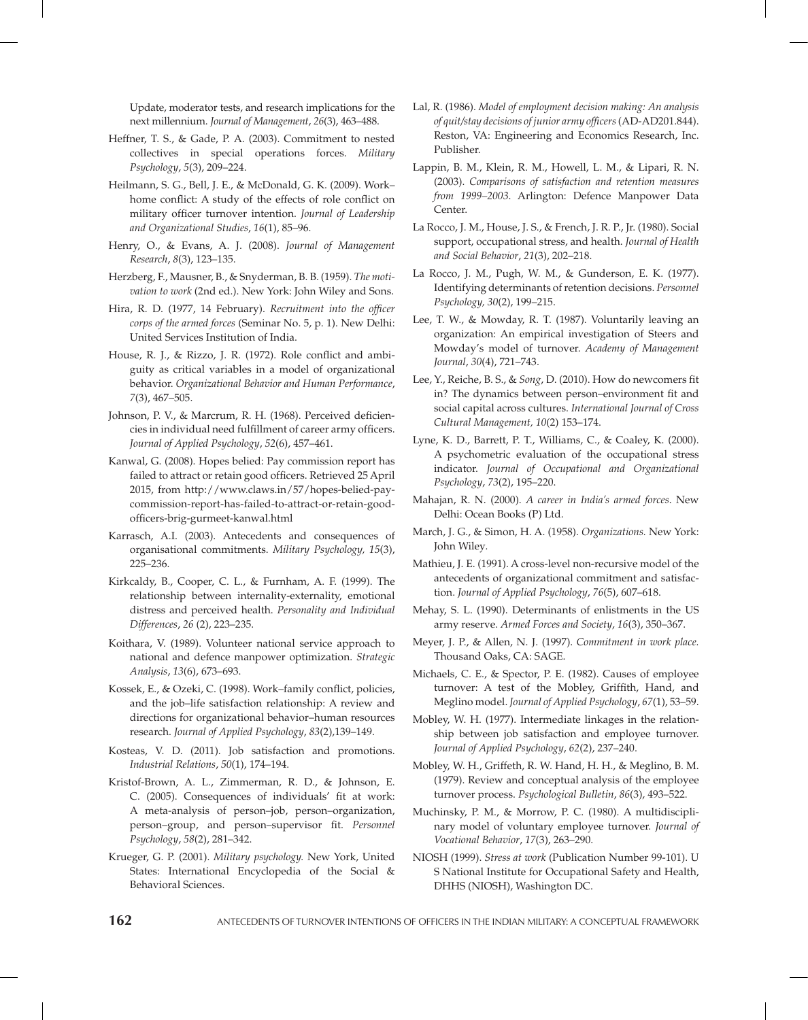Update, moderator tests, and research implications for the next millennium. *Journal of Management*, *26*(3), 463–488.

- Heffner, T. S., & Gade, P. A. (2003). Commitment to nested collectives in special operations forces. *Military Psychology*, *5*(3), 209–224.
- Heilmann, S. G., Bell, J. E., & McDonald, G. K. (2009). Work– home conflict: A study of the effects of role conflict on military officer turnover intention. *Journal of Leadership and Organizational Studies*, *16*(1), 85–96.
- Henry, O., & Evans, A. J. (2008). *Journal of Management Research*, *8*(3), 123–135.
- Herzberg, F., Mausner, B., & Snyderman, B. B. (1959). *The motivation to work* (2nd ed.). New York: John Wiley and Sons.
- Hira, R. D. (1977, 14 February). *Recruitment into the officer corps of the armed forces* (Seminar No. 5, p. 1). New Delhi: United Services Institution of India.
- House, R. J., & Rizzo, J. R. (1972). Role conflict and ambiguity as critical variables in a model of organizational behavior. *Organizational Behavior and Human Performance*, *7*(3), 467–505.
- Johnson, P. V., & Marcrum, R. H. (1968). Perceived deficiencies in individual need fulfillment of career army officers. *Journal of Applied Psychology*, *52*(6), 457–461.
- Kanwal, G. (2008). Hopes belied: Pay commission report has failed to attract or retain good officers. Retrieved 25 April 2015, from http://www.claws.in/57/hopes-belied-paycommission-report-has-failed-to-attract-or-retain-goodofficers-brig-gurmeet-kanwal.html
- Karrasch, A.I. (2003). Antecedents and consequences of organisational commitments. *Military Psychology, 15*(3), 225–236.
- Kirkcaldy, B., Cooper, C. L., & Furnham, A. F. (1999). The relationship between internality-externality, emotional distress and perceived health. *Personality and Individual Differences*, *26* (2), 223–235.
- Koithara, V. (1989). Volunteer national service approach to national and defence manpower optimization. *Strategic Analysis*, *13*(6), 673–693.
- Kossek, E., & Ozeki, C. (1998). Work–family conflict, policies, and the job–life satisfaction relationship: A review and directions for organizational behavior–human resources research. *Journal of Applied Psychology*, *83*(2),139–149.
- Kosteas, V. D. (2011). Job satisfaction and promotions. *Industrial Relations*, *50*(1), 174–194.
- Kristof-Brown, A. L., Zimmerman, R. D., & Johnson, E. C. (2005). Consequences of individuals' fit at work: A meta-analysis of person–job, person–organization, person–group, and person–supervisor fit. *Personnel Psychology*, *58*(2), 281–342.
- Krueger, G. P. (2001). *Military psychology.* New York, United States: International Encyclopedia of the Social & Behavioral Sciences.
- Lal, R. (1986). *Model of employment decision making: An analysis of quit/stay decisions of junior army officers* (AD-AD201.844). Reston, VA: Engineering and Economics Research, Inc. Publisher.
- Lappin, B. M., Klein, R. M., Howell, L. M., & Lipari, R. N. (2003). *Comparisons of satisfaction and retention measures from 1999–2003*. Arlington: Defence Manpower Data Center.
- La Rocco, J. M., House, J. S., & French, J. R. P., Jr. (1980). Social support, occupational stress, and health. *Journal of Health and Social Behavior*, *21*(3), 202–218.
- La Rocco, J. M., Pugh, W. M., & Gunderson, E. K. (1977). Identifying determinants of retention decisions. *Personnel Psychology, 30*(2), 199–215.
- Lee, T. W., & Mowday, R. T. (1987). Voluntarily leaving an organization: An empirical investigation of Steers and Mowday's model of turnover. *Academy of Management Journal*, *30*(4), 721–743.
- Lee, Y., Reiche, B. S., & *Song*, D. (2010). How do newcomers fit in? The dynamics between person–environment fit and social capital across cultures. *International Journal of Cross Cultural Management, 10*(2) 153–174.
- Lyne, K. D., Barrett, P. T., Williams, C., & Coaley, K. (2000). A psychometric evaluation of the occupational stress indicator. *Journal of Occupational and Organizational Psychology*, *73*(2), 195–220.
- Mahajan, R. N. (2000). *A career in India's armed forces*. New Delhi: Ocean Books (P) Ltd.
- March, J. G., & Simon, H. A. (1958). *Organizations.* New York: John Wiley*.*
- Mathieu, J. E. (1991). A cross-level non-recursive model of the antecedents of organizational commitment and satisfaction. *Journal of Applied Psychology*, *76*(5), 607–618.
- Mehay, S. L. (1990). Determinants of enlistments in the US army reserve. *Armed Forces and Society*, *16*(3), 350–367.
- Meyer, J. P., & Allen, N. J. (1997). *Commitment in work place.*  Thousand Oaks, CA: SAGE.
- Michaels, C. E., & Spector, P. E. (1982). Causes of employee turnover: A test of the Mobley, Griffith, Hand, and Meglino model. *Journal of Applied Psychology*, *67*(1), 53–59.
- Mobley, W. H. (1977). Intermediate linkages in the relationship between job satisfaction and employee turnover. *Journal of Applied Psychology*, *62*(2), 237–240.
- Mobley, W. H., Griffeth, R. W. Hand, H. H., & Meglino, B. M. (1979). Review and conceptual analysis of the employee turnover process. *Psychological Bulletin*, *86*(3), 493–522.
- Muchinsky, P. M., & Morrow, P. C. (1980). A multidisciplinary model of voluntary employee turnover. *Journal of Vocational Behavior*, *17*(3), 263–290.
- NIOSH (1999). *Stress at work* (Publication Number 99-101). U S National Institute for Occupational Safety and Health, DHHS (NIOSH), Washington DC.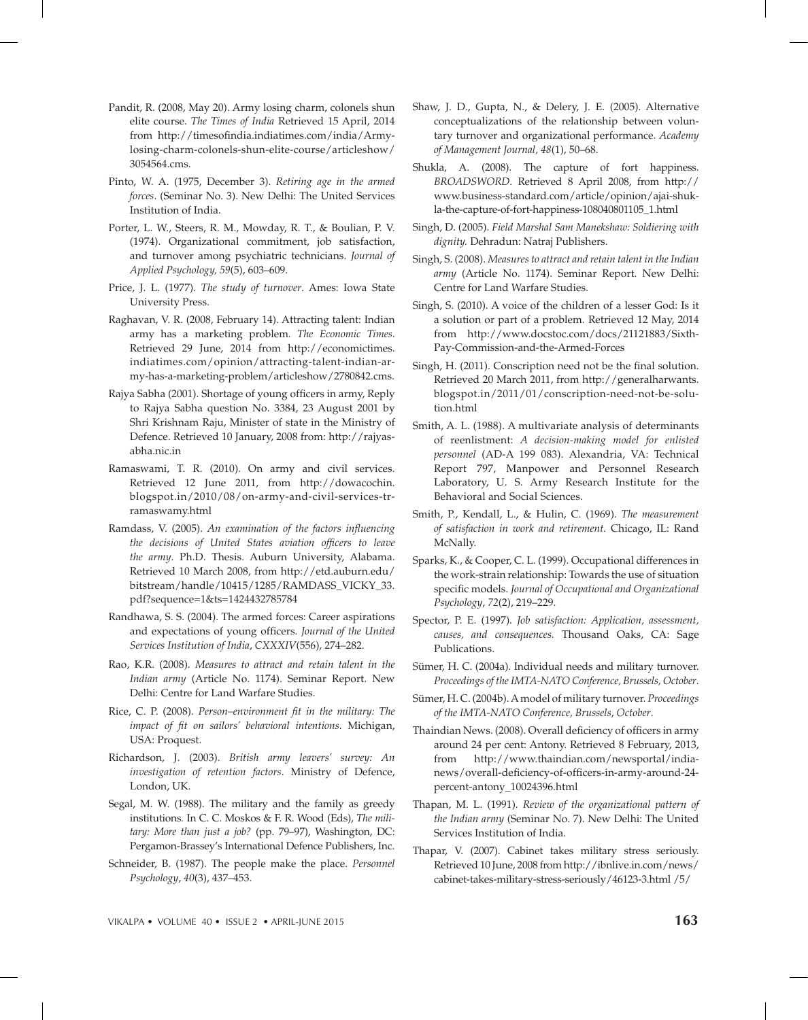- Pandit, R. (2008, May 20). Army losing charm, colonels shun elite course. *The Times of India* Retrieved 15 April, 2014 from http://timesofindia.indiatimes.com/india/Armylosing-charm-colonels-shun-elite-course/articleshow/ 3054564.cms.
- Pinto, W. A. (1975, December 3). *Retiring age in the armed forces*. (Seminar No. 3). New Delhi: The United Services Institution of India.
- Porter, L. W., Steers, R. M., Mowday, R. T., & Boulian, P. V. (1974). Organizational commitment, job satisfaction, and turnover among psychiatric technicians. *Journal of Applied Psychology, 59*(5), 603–609.
- Price, J. L. (1977). *The study of turnover*. Ames: Iowa State University Press.
- Raghavan, V. R. (2008, February 14). Attracting talent: Indian army has a marketing problem*. The Economic Times*. Retrieved 29 June, 2014 from http://economictimes. indiatimes.com/opinion/attracting-talent-indian-army-has-a-marketing-problem/articleshow/2780842.cms.
- Rajya Sabha (2001). Shortage of young officers in army, Reply to Rajya Sabha question No. 3384, 23 August 2001 by Shri Krishnam Raju, Minister of state in the Ministry of Defence. Retrieved 10 January, 2008 from: http://rajyasabha.nic.in
- Ramaswami, T. R. (2010). On army and civil services. Retrieved 12 June 2011, from http://dowacochin. blogspot.in/2010/08/on-army-and-civil-services-trramaswamy.html
- Ramdass, V. (2005). *An examination of the factors influencing the decisions of United States aviation officers to leave the army*. Ph.D. Thesis. Auburn University, Alabama. Retrieved 10 March 2008, from http://etd.auburn.edu/ bitstream/handle/10415/1285/RAMDASS\_VICKY\_33. pdf?sequence=1&ts=1424432785784
- Randhawa, S. S. (2004). The armed forces: Career aspirations and expectations of young officers. *Journal of the United Services Institution of India*, *CXXXIV*(556), 274–282.
- Rao, K.R. (2008). *Measures to attract and retain talent in the Indian army* (Article No. 1174). Seminar Report. New Delhi: Centre for Land Warfare Studies.
- Rice, C. P. (2008). *Person–environment fit in the military: The impact of fit on sailors' behavioral intentions*. Michigan, USA: Proquest.
- Richardson, J. (2003). *British army leavers' survey: An investigation of retention factors*. Ministry of Defence, London, UK.
- Segal, M. W. (1988). The military and the family as greedy institutions*.* In C. C. Moskos & F. R. Wood (Eds), *The military: More than just a job?* (pp. 79–97), Washington, DC: Pergamon-Brassey's International Defence Publishers, Inc.
- Schneider, B. (1987). The people make the place. *Personnel Psychology*, *40*(3), 437–453.
- Shaw, J. D., Gupta, N., & Delery, J. E. (2005). Alternative conceptualizations of the relationship between voluntary turnover and organizational performance. *Academy of Management Journal, 48*(1), 50–68.
- Shukla, A. (2008). The capture of fort happiness. *BROADSWORD*. Retrieved 8 April 2008, from http:// www.business-standard.com/article/opinion/ajai-shukla-the-capture-of-fort-happiness-108040801105\_1.html
- Singh, D. (2005). *Field Marshal Sam Manekshaw: Soldiering with dignity.* Dehradun: Natraj Publishers.
- Singh, S. (2008). *Measures to attract and retain talent in the Indian army* (Article No. 1174). Seminar Report. New Delhi: Centre for Land Warfare Studies.
- Singh, S. (2010). A voice of the children of a lesser God: Is it a solution or part of a problem. Retrieved 12 May, 2014 from http://www.docstoc.com/docs/21121883/Sixth-Pay-Commission-and-the-Armed-Forces
- Singh, H. (2011). Conscription need not be the final solution. Retrieved 20 March 2011, from http://generalharwants. blogspot.in/2011/01/conscription-need-not-be-solution.html
- Smith, A. L. (1988). A multivariate analysis of determinants of reenlistment: *A decision-making model for enlisted personnel* (AD-A 199 083). Alexandria, VA: Technical Report 797, Manpower and Personnel Research Laboratory, U. S. Army Research Institute for the Behavioral and Social Sciences.
- Smith, P., Kendall, L., & Hulin, C. (1969). *The measurement of satisfaction in work and retirement.* Chicago, IL: Rand McNally.
- Sparks, K., & Cooper, C. L. (1999). Occupational differences in the work-strain relationship: Towards the use of situation specific models. *Journal of Occupational and Organizational Psychology*, *72*(2), 219–229.
- Spector, P. E. (1997). *Job satisfaction: Application, assessment, causes, and consequences.* Thousand Oaks, CA: Sage Publications.
- Sümer, H. C. (2004a). Individual needs and military turnover. *Proceedings of the IMTA-NATO Conference, Brussels, October*.
- Sümer, H. C. (2004b). A model of military turnover. *Proceedings of the IMTA-NATO Conference, Brussels*, *October*.
- Thaindian News. (2008). Overall deficiency of officers in army around 24 per cent: Antony. Retrieved 8 February, 2013, from http://www.thaindian.com/newsportal/indianews/overall-deficiency-of-officers-in-army-around-24 percent-antony\_10024396.html
- Thapan, M. L. (1991). *Review of the organizational pattern of the Indian army* (Seminar No. 7). New Delhi: The United Services Institution of India.
- Thapar, V. (2007). Cabinet takes military stress seriously. Retrieved 10 June, 2008 from http://ibnlive.in.com/news/ cabinet-takes-military-stress-seriously/46123-3.html /5/